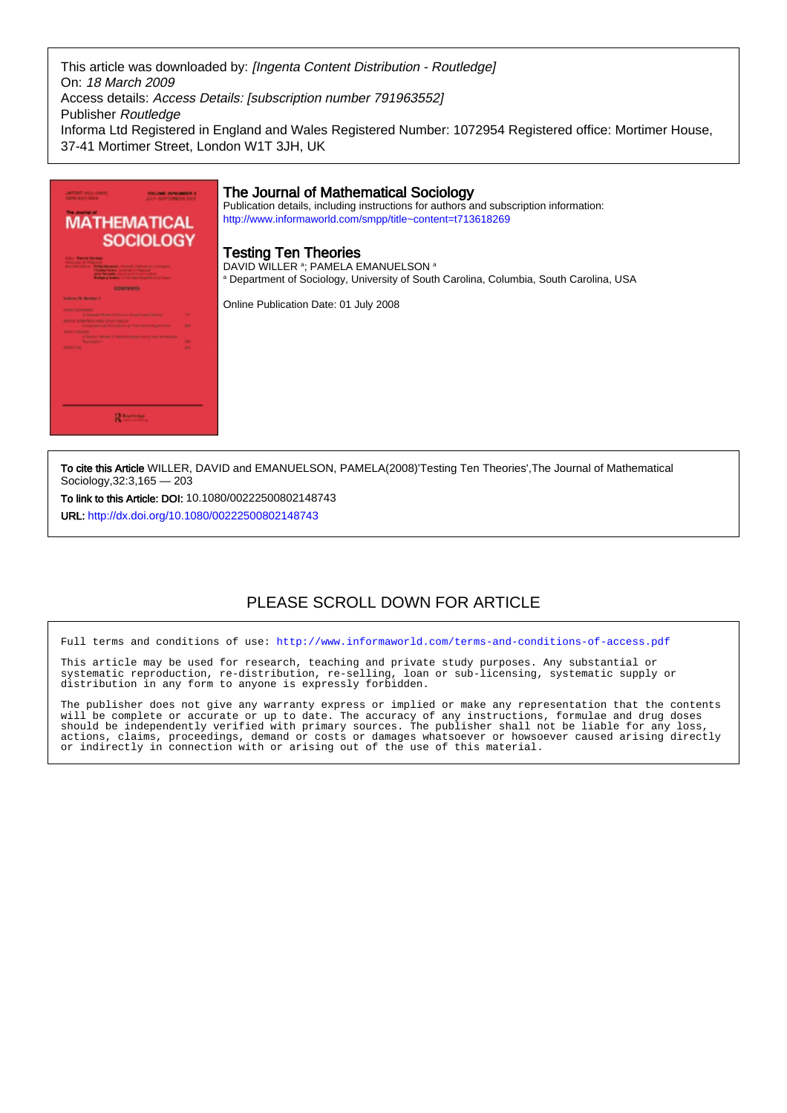This article was downloaded by: *[Ingenta Content Distribution - Routledge]* On: 18 March 2009 Access details: Access Details: [subscription number 791963552] Publisher Routledge Informa Ltd Registered in England and Wales Registered Number: 1072954 Registered office: Mortimer House, 37-41 Mortimer Street, London W1T 3JH, UK



To cite this Article WILLER, DAVID and EMANUELSON, PAMELA(2008)'Testing Ten Theories',The Journal of Mathematical Sociology,32:3,165 — 203

To link to this Article: DOI: 10.1080/00222500802148743 URL: <http://dx.doi.org/10.1080/00222500802148743>

# PLEASE SCROLL DOWN FOR ARTICLE

Full terms and conditions of use:<http://www.informaworld.com/terms-and-conditions-of-access.pdf>

This article may be used for research, teaching and private study purposes. Any substantial or systematic reproduction, re-distribution, re-selling, loan or sub-licensing, systematic supply or distribution in any form to anyone is expressly forbidden.

The publisher does not give any warranty express or implied or make any representation that the contents will be complete or accurate or up to date. The accuracy of any instructions, formulae and drug doses should be independently verified with primary sources. The publisher shall not be liable for any loss, actions, claims, proceedings, demand or costs or damages whatsoever or howsoever caused arising directly or indirectly in connection with or arising out of the use of this material.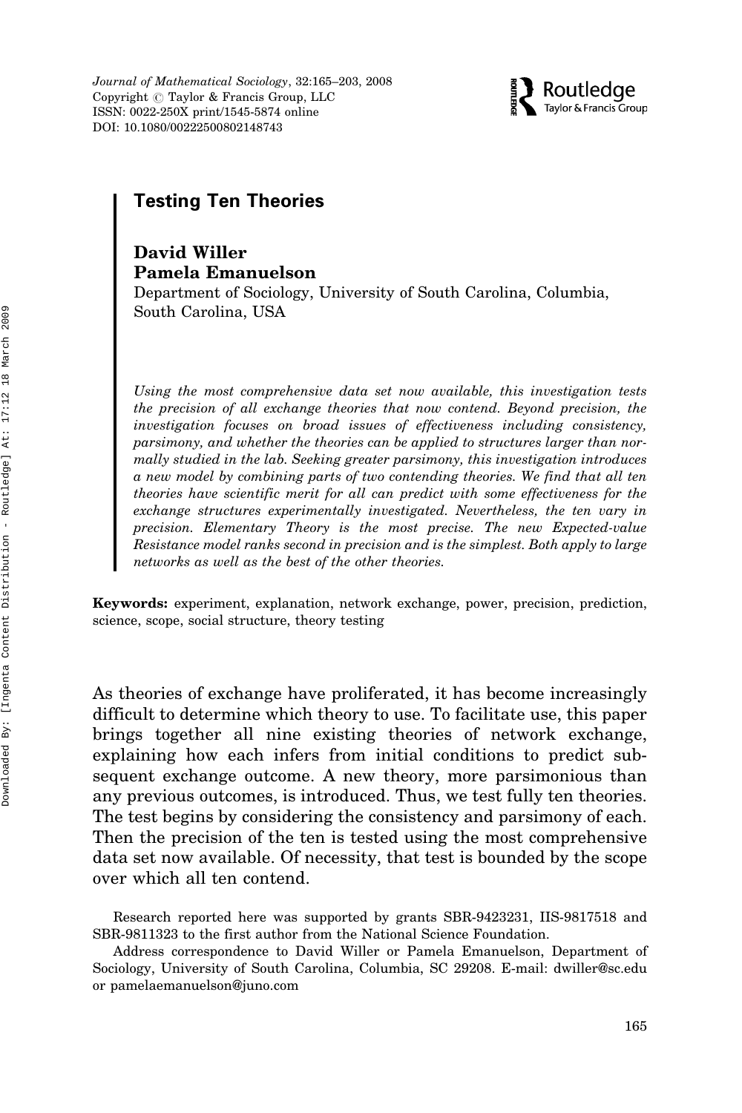Journal of Mathematical Sociology, 32:165–203, 2008 Copyright  $\odot$  Taylor & Francis Group, LLC ISSN: 0022-250X print/1545-5874 online DOI: 10.1080/00222500802148743



# Testing Ten Theories

## David Willer Pamela Emanuelson

Department of Sociology, University of South Carolina, Columbia, South Carolina, USA

Using the most comprehensive data set now available, this investigation tests the precision of all exchange theories that now contend. Beyond precision, the investigation focuses on broad issues of effectiveness including consistency, parsimony, and whether the theories can be applied to structures larger than normally studied in the lab. Seeking greater parsimony, this investigation introduces a new model by combining parts of two contending theories. We find that all ten theories have scientific merit for all can predict with some effectiveness for the exchange structures experimentally investigated. Nevertheless, the ten vary in precision. Elementary Theory is the most precise. The new Expected-value Resistance model ranks second in precision and is the simplest. Both apply to large networks as well as the best of the other theories.

Keywords: experiment, explanation, network exchange, power, precision, prediction, science, scope, social structure, theory testing

As theories of exchange have proliferated, it has become increasingly difficult to determine which theory to use. To facilitate use, this paper brings together all nine existing theories of network exchange, explaining how each infers from initial conditions to predict subsequent exchange outcome. A new theory, more parsimonious than any previous outcomes, is introduced. Thus, we test fully ten theories. The test begins by considering the consistency and parsimony of each. Then the precision of the ten is tested using the most comprehensive data set now available. Of necessity, that test is bounded by the scope over which all ten contend.

Research reported here was supported by grants SBR-9423231, IIS-9817518 and SBR-9811323 to the first author from the National Science Foundation.

Address correspondence to David Willer or Pamela Emanuelson, Department of Sociology, University of South Carolina, Columbia, SC 29208. E-mail: dwiller@sc.edu or pamelaemanuelson@juno.com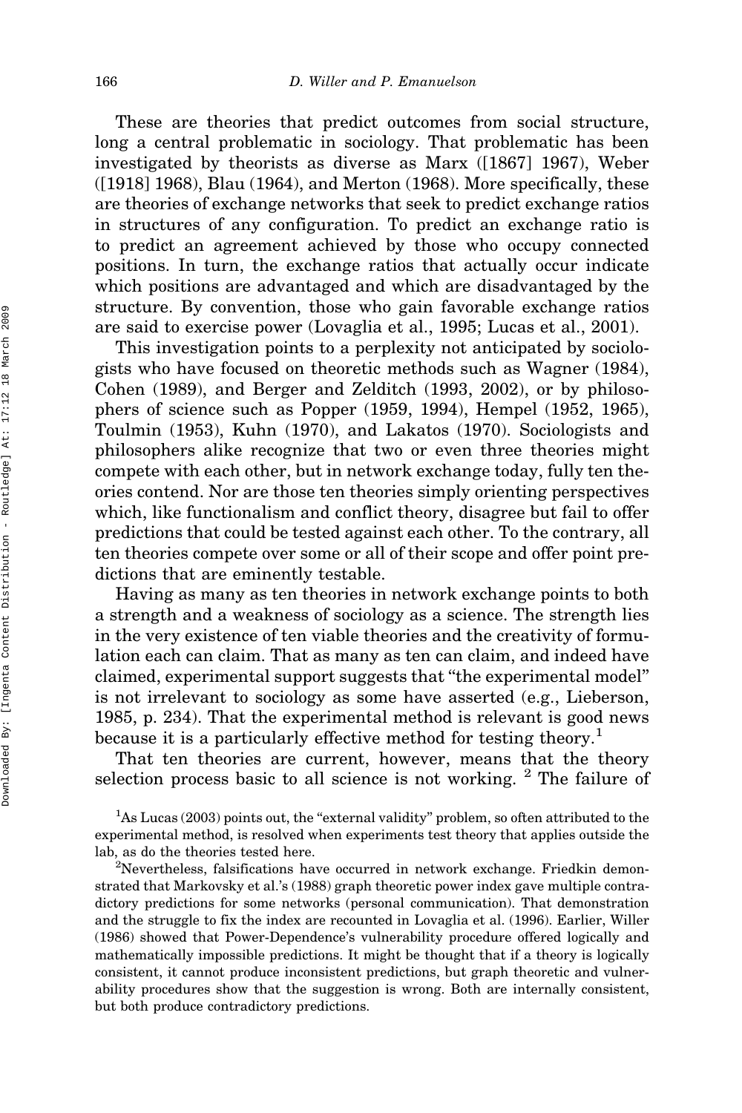These are theories that predict outcomes from social structure, long a central problematic in sociology. That problematic has been investigated by theorists as diverse as Marx ([1867] 1967), Weber ([1918] 1968), Blau (1964), and Merton (1968). More specifically, these are theories of exchange networks that seek to predict exchange ratios in structures of any configuration. To predict an exchange ratio is to predict an agreement achieved by those who occupy connected positions. In turn, the exchange ratios that actually occur indicate which positions are advantaged and which are disadvantaged by the structure. By convention, those who gain favorable exchange ratios are said to exercise power (Lovaglia et al., 1995; Lucas et al., 2001).

This investigation points to a perplexity not anticipated by sociologists who have focused on theoretic methods such as Wagner (1984), Cohen (1989), and Berger and Zelditch (1993, 2002), or by philosophers of science such as Popper (1959, 1994), Hempel (1952, 1965), Toulmin (1953), Kuhn (1970), and Lakatos (1970). Sociologists and philosophers alike recognize that two or even three theories might compete with each other, but in network exchange today, fully ten theories contend. Nor are those ten theories simply orienting perspectives which, like functionalism and conflict theory, disagree but fail to offer predictions that could be tested against each other. To the contrary, all ten theories compete over some or all of their scope and offer point predictions that are eminently testable.

Having as many as ten theories in network exchange points to both a strength and a weakness of sociology as a science. The strength lies in the very existence of ten viable theories and the creativity of formulation each can claim. That as many as ten can claim, and indeed have claimed, experimental support suggests that ''the experimental model'' is not irrelevant to sociology as some have asserted (e.g., Lieberson, 1985, p. 234). That the experimental method is relevant is good news because it is a particularly effective method for testing theory.<sup>1</sup>

That ten theories are current, however, means that the theory selection process basic to all science is not working. <sup>2</sup> The failure of

<sup>2</sup>Nevertheless, falsifications have occurred in network exchange. Friedkin demonstrated that Markovsky et al.'s (1988) graph theoretic power index gave multiple contradictory predictions for some networks (personal communication). That demonstration and the struggle to fix the index are recounted in Lovaglia et al. (1996). Earlier, Willer (1986) showed that Power-Dependence's vulnerability procedure offered logically and mathematically impossible predictions. It might be thought that if a theory is logically consistent, it cannot produce inconsistent predictions, but graph theoretic and vulnerability procedures show that the suggestion is wrong. Both are internally consistent, but both produce contradictory predictions.

<sup>&</sup>lt;sup>1</sup>As Lucas (2003) points out, the "external validity" problem, so often attributed to the experimental method, is resolved when experiments test theory that applies outside the lab, as do the theories tested here.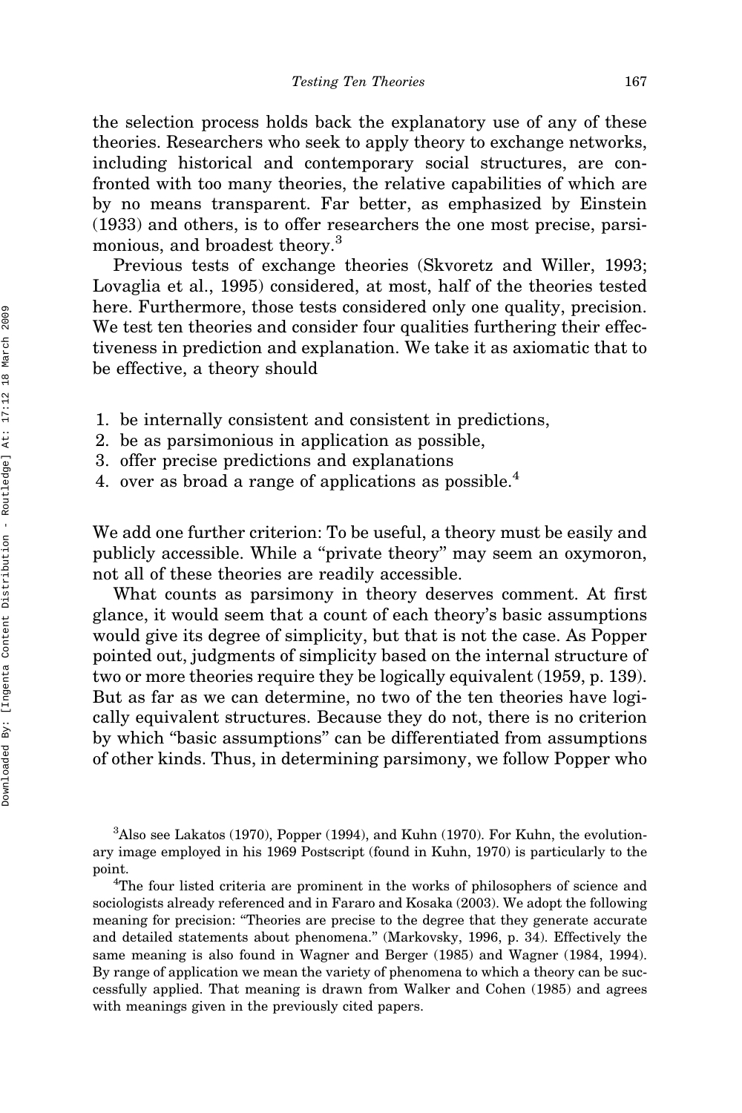the selection process holds back the explanatory use of any of these theories. Researchers who seek to apply theory to exchange networks, including historical and contemporary social structures, are confronted with too many theories, the relative capabilities of which are by no means transparent. Far better, as emphasized by Einstein (1933) and others, is to offer researchers the one most precise, parsimonious, and broadest theory.<sup>3</sup>

Previous tests of exchange theories (Skvoretz and Willer, 1993; Lovaglia et al., 1995) considered, at most, half of the theories tested here. Furthermore, those tests considered only one quality, precision. We test ten theories and consider four qualities furthering their effectiveness in prediction and explanation. We take it as axiomatic that to be effective, a theory should

- 1. be internally consistent and consistent in predictions,
- 2. be as parsimonious in application as possible,
- 3. offer precise predictions and explanations
- 4. over as broad a range of applications as possible.<sup>4</sup>

We add one further criterion: To be useful, a theory must be easily and publicly accessible. While a ''private theory'' may seem an oxymoron, not all of these theories are readily accessible.

What counts as parsimony in theory deserves comment. At first glance, it would seem that a count of each theory's basic assumptions would give its degree of simplicity, but that is not the case. As Popper pointed out, judgments of simplicity based on the internal structure of two or more theories require they be logically equivalent (1959, p. 139). But as far as we can determine, no two of the ten theories have logically equivalent structures. Because they do not, there is no criterion by which ''basic assumptions'' can be differentiated from assumptions of other kinds. Thus, in determining parsimony, we follow Popper who

 ${}^{3}$ Also see Lakatos (1970), Popper (1994), and Kuhn (1970). For Kuhn, the evolutionary image employed in his 1969 Postscript (found in Kuhn, 1970) is particularly to the point. <sup>4</sup>

The four listed criteria are prominent in the works of philosophers of science and sociologists already referenced and in Fararo and Kosaka (2003). We adopt the following meaning for precision: ''Theories are precise to the degree that they generate accurate and detailed statements about phenomena.'' (Markovsky, 1996, p. 34). Effectively the same meaning is also found in Wagner and Berger (1985) and Wagner (1984, 1994). By range of application we mean the variety of phenomena to which a theory can be successfully applied. That meaning is drawn from Walker and Cohen (1985) and agrees with meanings given in the previously cited papers.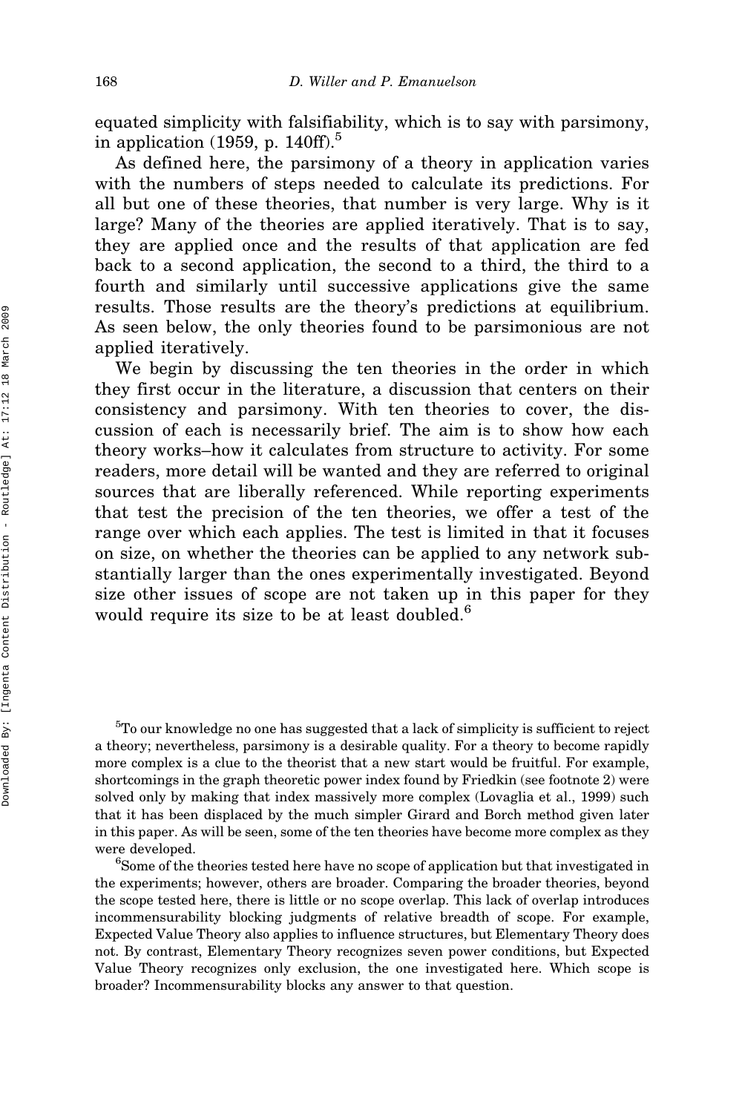equated simplicity with falsifiability, which is to say with parsimony, in application (1959, p. 140ff).<sup>5</sup>

As defined here, the parsimony of a theory in application varies with the numbers of steps needed to calculate its predictions. For all but one of these theories, that number is very large. Why is it large? Many of the theories are applied iteratively. That is to say, they are applied once and the results of that application are fed back to a second application, the second to a third, the third to a fourth and similarly until successive applications give the same results. Those results are the theory's predictions at equilibrium. As seen below, the only theories found to be parsimonious are not applied iteratively.

We begin by discussing the ten theories in the order in which they first occur in the literature, a discussion that centers on their consistency and parsimony. With ten theories to cover, the discussion of each is necessarily brief. The aim is to show how each theory works–how it calculates from structure to activity. For some readers, more detail will be wanted and they are referred to original sources that are liberally referenced. While reporting experiments that test the precision of the ten theories, we offer a test of the range over which each applies. The test is limited in that it focuses on size, on whether the theories can be applied to any network substantially larger than the ones experimentally investigated. Beyond size other issues of scope are not taken up in this paper for they would require its size to be at least doubled.<sup>6</sup>

<sup>5</sup>To our knowledge no one has suggested that a lack of simplicity is sufficient to reject a theory; nevertheless, parsimony is a desirable quality. For a theory to become rapidly more complex is a clue to the theorist that a new start would be fruitful. For example, shortcomings in the graph theoretic power index found by Friedkin (see footnote 2) were solved only by making that index massively more complex (Lovaglia et al., 1999) such that it has been displaced by the much simpler Girard and Borch method given later in this paper. As will be seen, some of the ten theories have become more complex as they were developed.

Some of the theories tested here have no scope of application but that investigated in the experiments; however, others are broader. Comparing the broader theories, beyond the scope tested here, there is little or no scope overlap. This lack of overlap introduces incommensurability blocking judgments of relative breadth of scope. For example, Expected Value Theory also applies to influence structures, but Elementary Theory does not. By contrast, Elementary Theory recognizes seven power conditions, but Expected Value Theory recognizes only exclusion, the one investigated here. Which scope is broader? Incommensurability blocks any answer to that question.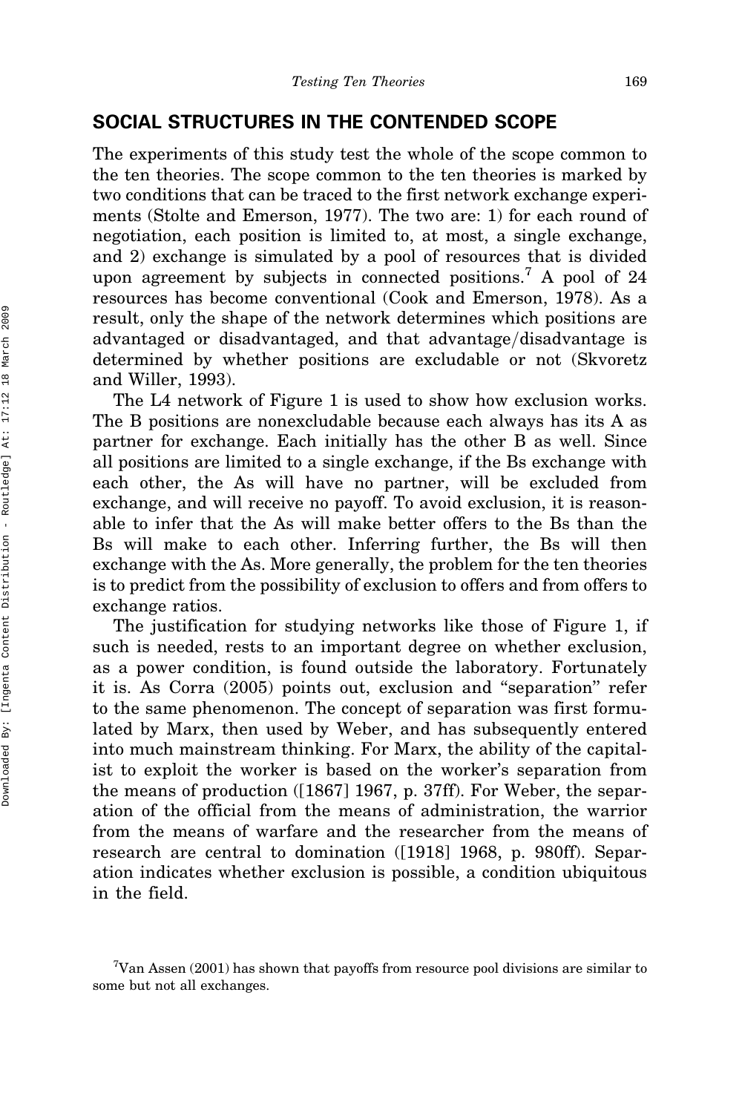#### SOCIAL STRUCTURES IN THE CONTENDED SCOPE

The experiments of this study test the whole of the scope common to the ten theories. The scope common to the ten theories is marked by two conditions that can be traced to the first network exchange experiments (Stolte and Emerson, 1977). The two are: 1) for each round of negotiation, each position is limited to, at most, a single exchange, and 2) exchange is simulated by a pool of resources that is divided upon agreement by subjects in connected positions.<sup>7</sup> A pool of 24 resources has become conventional (Cook and Emerson, 1978). As a result, only the shape of the network determines which positions are advantaged or disadvantaged, and that advantage/disadvantage is determined by whether positions are excludable or not (Skvoretz and Willer, 1993).

The L4 network of Figure 1 is used to show how exclusion works. The B positions are nonexcludable because each always has its A as partner for exchange. Each initially has the other B as well. Since all positions are limited to a single exchange, if the Bs exchange with each other, the As will have no partner, will be excluded from exchange, and will receive no payoff. To avoid exclusion, it is reasonable to infer that the As will make better offers to the Bs than the Bs will make to each other. Inferring further, the Bs will then exchange with the As. More generally, the problem for the ten theories is to predict from the possibility of exclusion to offers and from offers to exchange ratios.

The justification for studying networks like those of Figure 1, if such is needed, rests to an important degree on whether exclusion, as a power condition, is found outside the laboratory. Fortunately it is. As Corra (2005) points out, exclusion and ''separation'' refer to the same phenomenon. The concept of separation was first formulated by Marx, then used by Weber, and has subsequently entered into much mainstream thinking. For Marx, the ability of the capitalist to exploit the worker is based on the worker's separation from the means of production ([1867] 1967, p. 37ff). For Weber, the separation of the official from the means of administration, the warrior from the means of warfare and the researcher from the means of research are central to domination ([1918] 1968, p. 980ff). Separation indicates whether exclusion is possible, a condition ubiquitous in the field.

 $7$ Van Assen (2001) has shown that payoffs from resource pool divisions are similar to some but not all exchanges.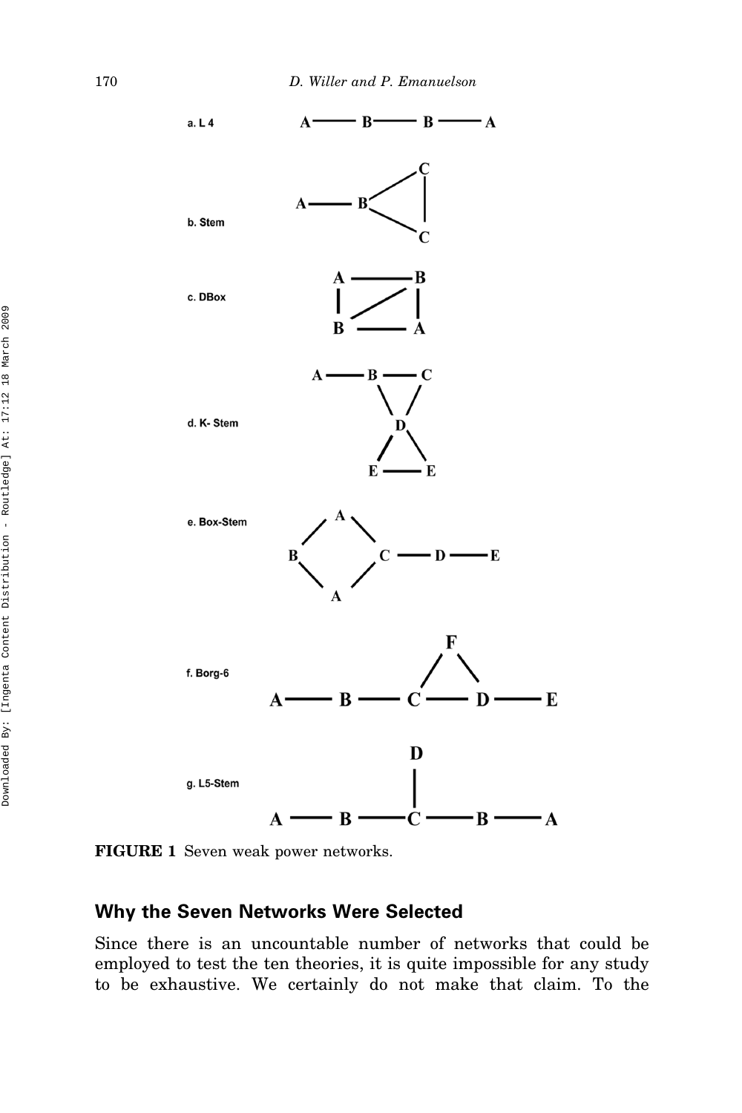

FIGURE 1 Seven weak power networks.

# Why the Seven Networks Were Selected

Since there is an uncountable number of networks that could be employed to test the ten theories, it is quite impossible for any study to be exhaustive. We certainly do not make that claim. To the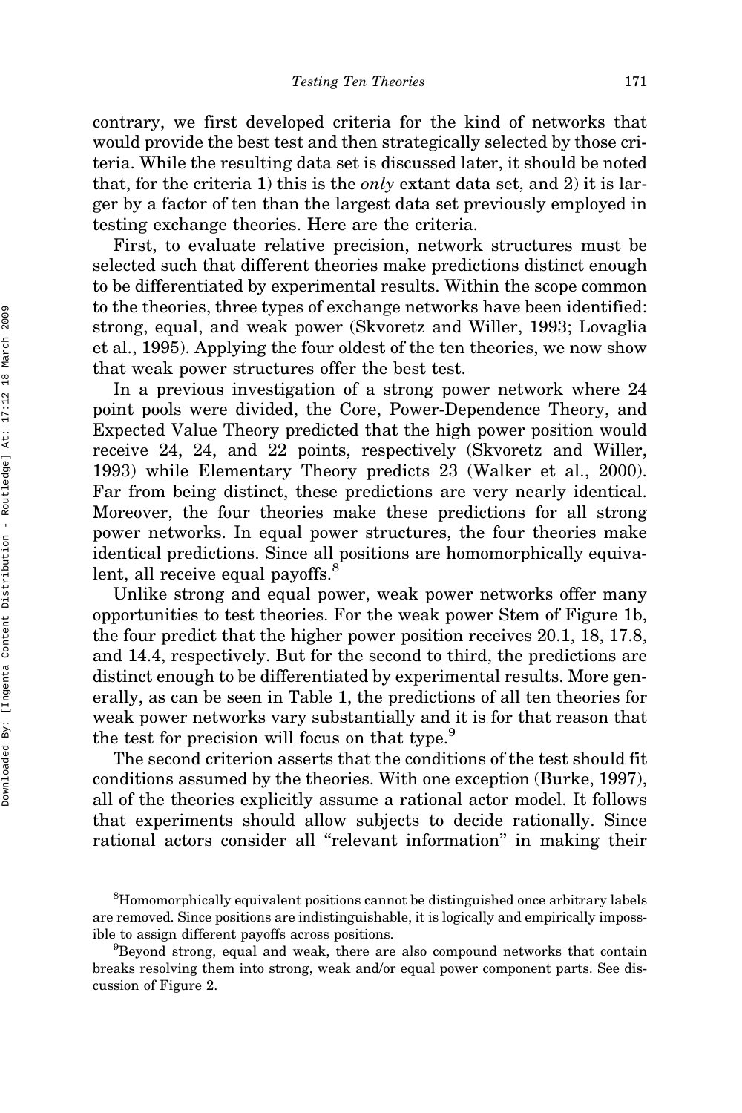contrary, we first developed criteria for the kind of networks that would provide the best test and then strategically selected by those criteria. While the resulting data set is discussed later, it should be noted that, for the criteria 1) this is the *only* extant data set, and 2) it is larger by a factor of ten than the largest data set previously employed in testing exchange theories. Here are the criteria.

First, to evaluate relative precision, network structures must be selected such that different theories make predictions distinct enough to be differentiated by experimental results. Within the scope common to the theories, three types of exchange networks have been identified: strong, equal, and weak power (Skvoretz and Willer, 1993; Lovaglia et al., 1995). Applying the four oldest of the ten theories, we now show that weak power structures offer the best test.

In a previous investigation of a strong power network where 24 point pools were divided, the Core, Power-Dependence Theory, and Expected Value Theory predicted that the high power position would receive 24, 24, and 22 points, respectively (Skvoretz and Willer, 1993) while Elementary Theory predicts 23 (Walker et al., 2000). Far from being distinct, these predictions are very nearly identical. Moreover, the four theories make these predictions for all strong power networks. In equal power structures, the four theories make identical predictions. Since all positions are homomorphically equivalent, all receive equal payoffs.<sup>8</sup>

Unlike strong and equal power, weak power networks offer many opportunities to test theories. For the weak power Stem of Figure 1b, the four predict that the higher power position receives 20.1, 18, 17.8, and 14.4, respectively. But for the second to third, the predictions are distinct enough to be differentiated by experimental results. More generally, as can be seen in Table 1, the predictions of all ten theories for weak power networks vary substantially and it is for that reason that the test for precision will focus on that type.<sup>9</sup>

The second criterion asserts that the conditions of the test should fit conditions assumed by the theories. With one exception (Burke, 1997), all of the theories explicitly assume a rational actor model. It follows that experiments should allow subjects to decide rationally. Since rational actors consider all ''relevant information'' in making their

<sup>&</sup>lt;sup>8</sup>Homomorphically equivalent positions cannot be distinguished once arbitrary labels are removed. Since positions are indistinguishable, it is logically and empirically impossible to assign different payoffs across positions.

<sup>&</sup>lt;sup>9</sup>Beyond strong, equal and weak, there are also compound networks that contain breaks resolving them into strong, weak and/or equal power component parts. See discussion of Figure 2.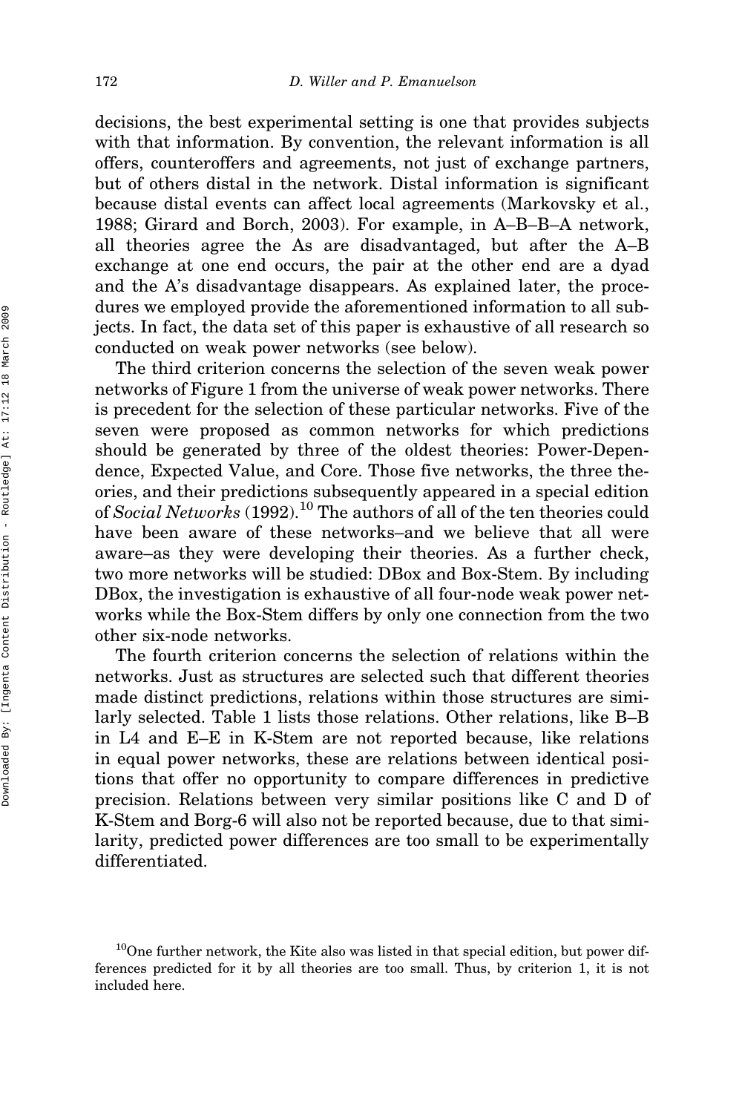decisions, the best experimental setting is one that provides subjects with that information. By convention, the relevant information is all offers, counteroffers and agreements, not just of exchange partners, but of others distal in the network. Distal information is significant because distal events can affect local agreements (Markovsky et al., 1988; Girard and Borch, 2003). For example, in A–B–B–A network, all theories agree the As are disadvantaged, but after the A–B exchange at one end occurs, the pair at the other end are a dyad and the A's disadvantage disappears. As explained later, the procedures we employed provide the aforementioned information to all subjects. In fact, the data set of this paper is exhaustive of all research so conducted on weak power networks (see below).

The third criterion concerns the selection of the seven weak power networks of Figure 1 from the universe of weak power networks. There is precedent for the selection of these particular networks. Five of the seven were proposed as common networks for which predictions should be generated by three of the oldest theories: Power-Dependence, Expected Value, and Core. Those five networks, the three theories, and their predictions subsequently appeared in a special edition of Social Networks (1992).<sup>10</sup> The authors of all of the ten theories could have been aware of these networks–and we believe that all were aware–as they were developing their theories. As a further check, two more networks will be studied: DBox and Box-Stem. By including DBox, the investigation is exhaustive of all four-node weak power networks while the Box-Stem differs by only one connection from the two other six-node networks.

The fourth criterion concerns the selection of relations within the networks. Just as structures are selected such that different theories made distinct predictions, relations within those structures are similarly selected. Table 1 lists those relations. Other relations, like B–B in L4 and E–E in K-Stem are not reported because, like relations in equal power networks, these are relations between identical positions that offer no opportunity to compare differences in predictive precision. Relations between very similar positions like C and D of K-Stem and Borg-6 will also not be reported because, due to that similarity, predicted power differences are too small to be experimentally differentiated.

 $10$ One further network, the Kite also was listed in that special edition, but power differences predicted for it by all theories are too small. Thus, by criterion 1, it is not included here.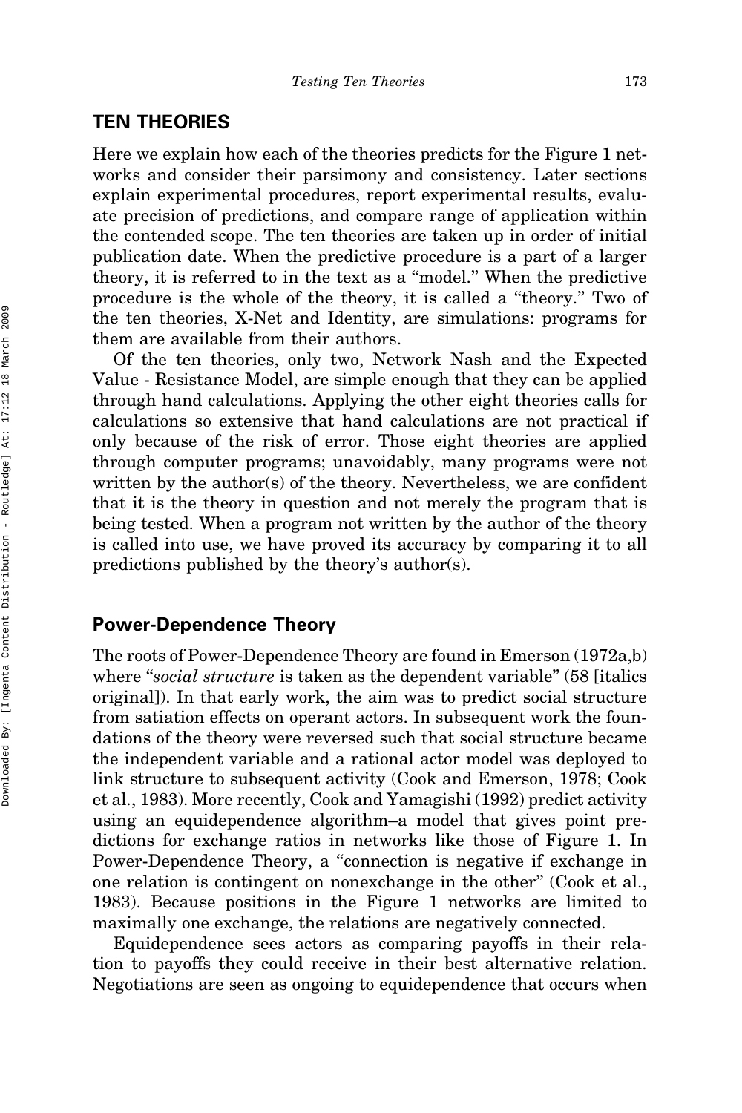## TEN THEORIES

Here we explain how each of the theories predicts for the Figure 1 networks and consider their parsimony and consistency. Later sections explain experimental procedures, report experimental results, evaluate precision of predictions, and compare range of application within the contended scope. The ten theories are taken up in order of initial publication date. When the predictive procedure is a part of a larger theory, it is referred to in the text as a ''model.'' When the predictive procedure is the whole of the theory, it is called a ''theory.'' Two of the ten theories, X-Net and Identity, are simulations: programs for them are available from their authors.

Of the ten theories, only two, Network Nash and the Expected Value - Resistance Model, are simple enough that they can be applied through hand calculations. Applying the other eight theories calls for calculations so extensive that hand calculations are not practical if only because of the risk of error. Those eight theories are applied through computer programs; unavoidably, many programs were not written by the author(s) of the theory. Nevertheless, we are confident that it is the theory in question and not merely the program that is being tested. When a program not written by the author of the theory is called into use, we have proved its accuracy by comparing it to all predictions published by the theory's author(s).

#### Power-Dependence Theory

The roots of Power-Dependence Theory are found in Emerson (1972a,b) where "social structure is taken as the dependent variable" (58 [italics] original]). In that early work, the aim was to predict social structure from satiation effects on operant actors. In subsequent work the foundations of the theory were reversed such that social structure became the independent variable and a rational actor model was deployed to link structure to subsequent activity (Cook and Emerson, 1978; Cook et al., 1983). More recently, Cook and Yamagishi (1992) predict activity using an equidependence algorithm–a model that gives point predictions for exchange ratios in networks like those of Figure 1. In Power-Dependence Theory, a ''connection is negative if exchange in one relation is contingent on nonexchange in the other'' (Cook et al., 1983). Because positions in the Figure 1 networks are limited to maximally one exchange, the relations are negatively connected.

Equidependence sees actors as comparing payoffs in their relation to payoffs they could receive in their best alternative relation. Negotiations are seen as ongoing to equidependence that occurs when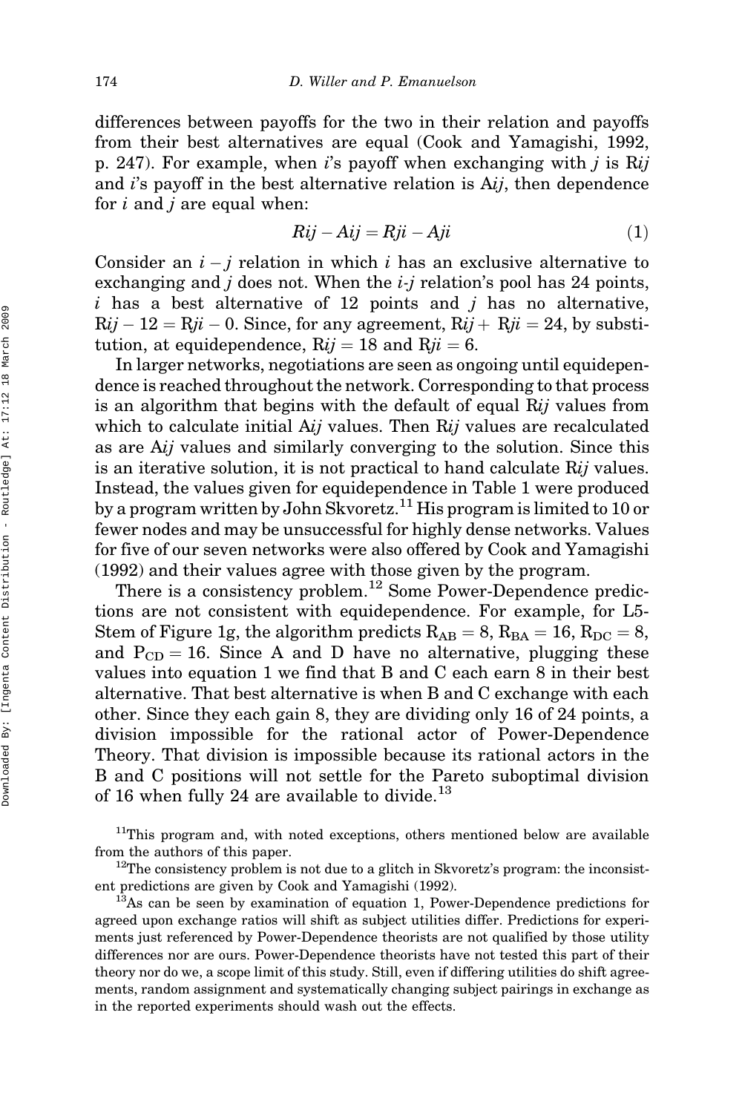differences between payoffs for the two in their relation and payoffs from their best alternatives are equal (Cook and Yamagishi, 1992, p. 247). For example, when i's payoff when exchanging with  $j$  is Rij and  $i$ 's payoff in the best alternative relation is  $A_{ij}$ , then dependence for  $i$  and  $j$  are equal when:

$$
Rij - Aij = Rji - Aji \tag{1}
$$

Consider an  $i - j$  relation in which i has an exclusive alternative to exchanging and  $j$  does not. When the  $i$ - $j$  relation's pool has 24 points,  $i$  has a best alternative of 12 points and  $j$  has no alternative,  $Rij - 12 = Rji - 0$ . Since, for any agreement,  $Rij + Rji = 24$ , by substitution, at equidependence,  $Rij = 18$  and  $Rji = 6$ .

In larger networks, negotiations are seen as ongoing until equidependence is reached throughout the network. Corresponding to that process is an algorithm that begins with the default of equal Rij values from which to calculate initial  $A_{ij}$  values. Then  $R_{ij}$  values are recalculated as are Aij values and similarly converging to the solution. Since this is an iterative solution, it is not practical to hand calculate Rij values. Instead, the values given for equidependence in Table 1 were produced by a program written by John Skvoretz.<sup>11</sup> His program is limited to 10 or fewer nodes and may be unsuccessful for highly dense networks. Values for five of our seven networks were also offered by Cook and Yamagishi (1992) and their values agree with those given by the program.

There is a consistency problem.<sup>12</sup> Some Power-Dependence predictions are not consistent with equidependence. For example, for L5- Stem of Figure 1g, the algorithm predicts  $R_{AB} = 8$ ,  $R_{BA} = 16$ ,  $R_{DC} = 8$ , and  $P_{CD} = 16$ . Since A and D have no alternative, plugging these values into equation 1 we find that B and C each earn 8 in their best alternative. That best alternative is when B and C exchange with each other. Since they each gain 8, they are dividing only 16 of 24 points, a division impossible for the rational actor of Power-Dependence Theory. That division is impossible because its rational actors in the B and C positions will not settle for the Pareto suboptimal division of 16 when fully 24 are available to divide.<sup>13</sup>

<sup>11</sup>This program and, with noted exceptions, others mentioned below are available from the authors of this paper.<br><sup>12</sup>The consistency problem is not due to a glitch in Skvoretz's program: the inconsist-

agreed upon exchange ratios will shift as subject utilities differ. Predictions for experiments just referenced by Power-Dependence theorists are not qualified by those utility differences nor are ours. Power-Dependence theorists have not tested this part of their theory nor do we, a scope limit of this study. Still, even if differing utilities do shift agreements, random assignment and systematically changing subject pairings in exchange as in the reported experiments should wash out the effects.

ent predictions are given by Cook and Yamagishi (1992).<br><sup>13</sup>As can be seen by examination of equation 1, Power-Dependence predictions for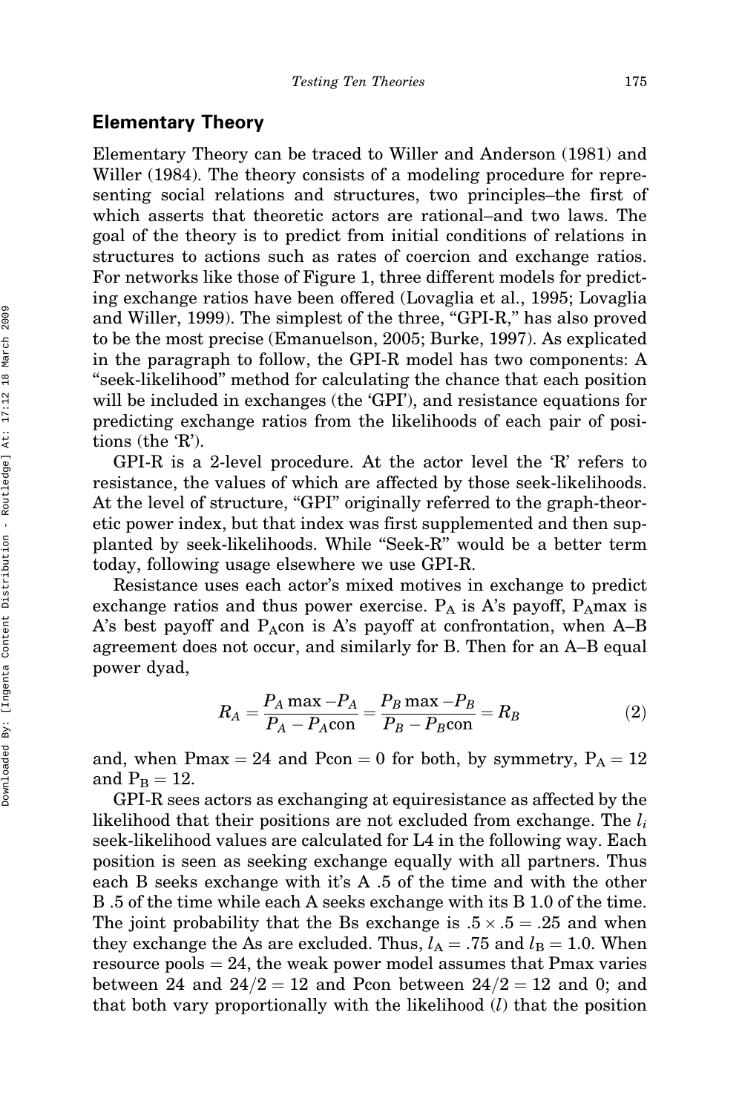#### Elementary Theory

Elementary Theory can be traced to Willer and Anderson (1981) and Willer (1984). The theory consists of a modeling procedure for representing social relations and structures, two principles–the first of which asserts that theoretic actors are rational–and two laws. The goal of the theory is to predict from initial conditions of relations in structures to actions such as rates of coercion and exchange ratios. For networks like those of Figure 1, three different models for predicting exchange ratios have been offered (Lovaglia et al., 1995; Lovaglia and Willer, 1999). The simplest of the three, ''GPI-R,'' has also proved to be the most precise (Emanuelson, 2005; Burke, 1997). As explicated in the paragraph to follow, the GPI-R model has two components: A ''seek-likelihood'' method for calculating the chance that each position will be included in exchanges (the 'GPI'), and resistance equations for predicting exchange ratios from the likelihoods of each pair of positions (the 'R').

GPI-R is a 2-level procedure. At the actor level the 'R' refers to resistance, the values of which are affected by those seek-likelihoods. At the level of structure, "GPI" originally referred to the graph-theoretic power index, but that index was first supplemented and then supplanted by seek-likelihoods. While "Seek-R" would be a better term today, following usage elsewhere we use GPI-R.

Resistance uses each actor's mixed motives in exchange to predict exchange ratios and thus power exercise.  $P_A$  is A's payoff,  $P_A$ max is A's best payoff and  $P_A$ con is A's payoff at confrontation, when A–B agreement does not occur, and similarly for B. Then for an A–B equal power dyad,

$$
R_A = \frac{P_A \max - P_A}{P_A - P_A \text{con}} = \frac{P_B \max - P_B}{P_B - P_B \text{con}} = R_B
$$
\n<sup>(2)</sup>

and, when Pmax = 24 and Pcon = 0 for both, by symmetry,  $P_A = 12$ and  $P_B = 12$ .

GPI-R sees actors as exchanging at equiresistance as affected by the likelihood that their positions are not excluded from exchange. The  $l_i$ seek-likelihood values are calculated for L4 in the following way. Each position is seen as seeking exchange equally with all partners. Thus each B seeks exchange with it's A .5 of the time and with the other B .5 of the time while each A seeks exchange with its B 1.0 of the time. The joint probability that the Bs exchange is  $.5 \times .5 = .25$  and when they exchange the As are excluded. Thus,  $l_A = .75$  and  $l_B = 1.0$ . When resource pools  $= 24$ , the weak power model assumes that Pmax varies between 24 and  $24/2=12$  and Pcon between  $24/2=12$  and 0; and that both vary proportionally with the likelihood  $(l)$  that the position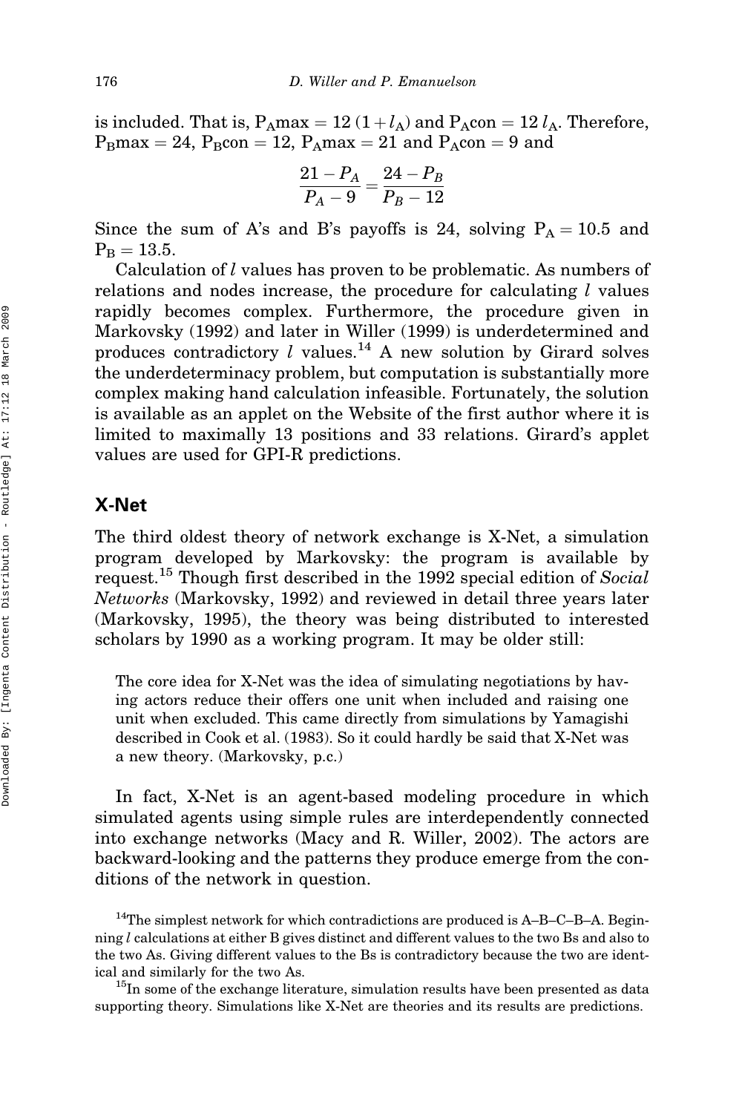is included. That is,  $P_A max = 12 (1 + l_A)$  and  $P_A con = 12 l_A$ . Therefore,  $P_B$ max = 24,  $P_B$ con = 12,  $P_A$ max = 21 and  $P_A$ con = 9 and

$$
\frac{21-P_A}{P_A-9}\!=\!\frac{24-P_B}{P_B-12}
$$

Since the sum of A's and B's payoffs is 24, solving  $P_A = 10.5$  and  $P_{\rm B} = 13.5.$ 

Calculation of l values has proven to be problematic. As numbers of relations and nodes increase, the procedure for calculating l values rapidly becomes complex. Furthermore, the procedure given in Markovsky (1992) and later in Willer (1999) is underdetermined and produces contradictory  $l$  values.<sup>14</sup> A new solution by Girard solves the underdeterminacy problem, but computation is substantially more complex making hand calculation infeasible. Fortunately, the solution is available as an applet on the Website of the first author where it is limited to maximally 13 positions and 33 relations. Girard's applet values are used for GPI-R predictions.

# X-Net

The third oldest theory of network exchange is X-Net, a simulation program developed by Markovsky: the program is available by request.15 Though first described in the 1992 special edition of Social Networks (Markovsky, 1992) and reviewed in detail three years later (Markovsky, 1995), the theory was being distributed to interested scholars by 1990 as a working program. It may be older still:

The core idea for X-Net was the idea of simulating negotiations by having actors reduce their offers one unit when included and raising one unit when excluded. This came directly from simulations by Yamagishi described in Cook et al. (1983). So it could hardly be said that X-Net was a new theory. (Markovsky, p.c.)

In fact, X-Net is an agent-based modeling procedure in which simulated agents using simple rules are interdependently connected into exchange networks (Macy and R. Willer, 2002). The actors are backward-looking and the patterns they produce emerge from the conditions of the network in question.

<sup>&</sup>lt;sup>14</sup>The simplest network for which contradictions are produced is  $A-B-C-B-A$ . Beginning l calculations at either B gives distinct and different values to the two Bs and also to the two As. Giving different values to the Bs is contradictory because the two are identical and similarly for the two As.<br><sup>15</sup>In some of the exchange literature, simulation results have been presented as data

supporting theory. Simulations like X-Net are theories and its results are predictions.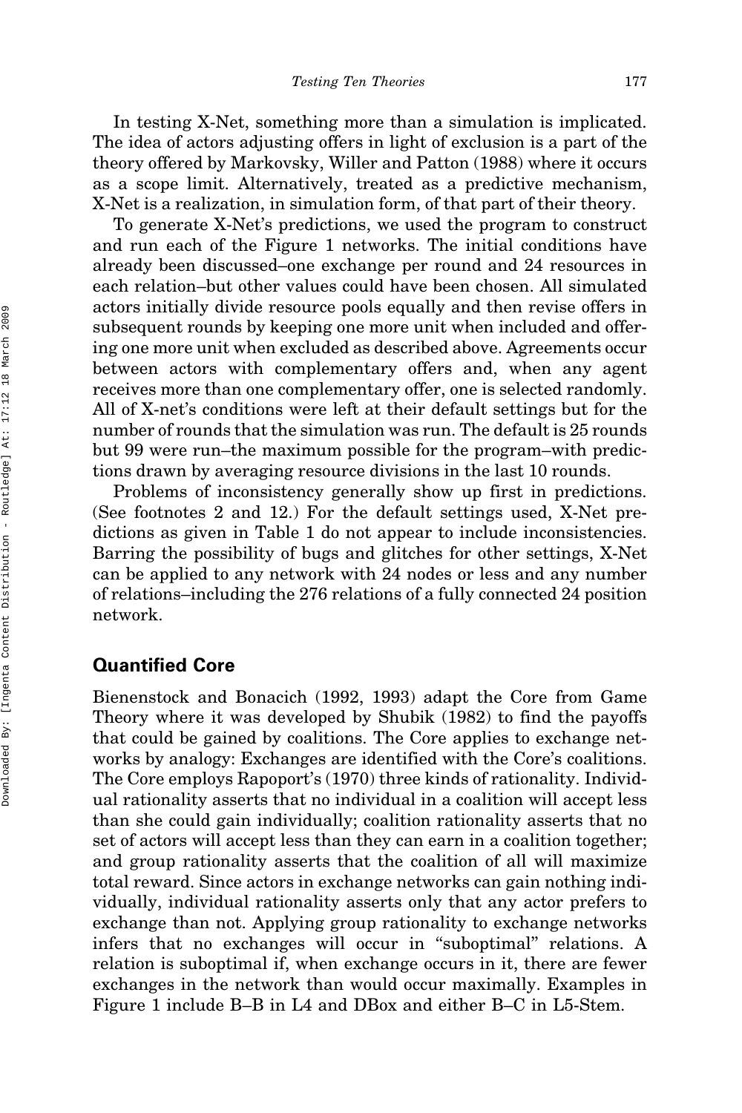In testing X-Net, something more than a simulation is implicated. The idea of actors adjusting offers in light of exclusion is a part of the theory offered by Markovsky, Willer and Patton (1988) where it occurs as a scope limit. Alternatively, treated as a predictive mechanism, X-Net is a realization, in simulation form, of that part of their theory.

To generate X-Net's predictions, we used the program to construct and run each of the Figure 1 networks. The initial conditions have already been discussed–one exchange per round and 24 resources in each relation–but other values could have been chosen. All simulated actors initially divide resource pools equally and then revise offers in subsequent rounds by keeping one more unit when included and offering one more unit when excluded as described above. Agreements occur between actors with complementary offers and, when any agent receives more than one complementary offer, one is selected randomly. All of X-net's conditions were left at their default settings but for the number of rounds that the simulation was run. The default is 25 rounds but 99 were run–the maximum possible for the program–with predictions drawn by averaging resource divisions in the last 10 rounds.

Problems of inconsistency generally show up first in predictions. (See footnotes 2 and 12.) For the default settings used, X-Net predictions as given in Table 1 do not appear to include inconsistencies. Barring the possibility of bugs and glitches for other settings, X-Net can be applied to any network with 24 nodes or less and any number of relations–including the 276 relations of a fully connected 24 position network.

#### Quantified Core

Bienenstock and Bonacich (1992, 1993) adapt the Core from Game Theory where it was developed by Shubik (1982) to find the payoffs that could be gained by coalitions. The Core applies to exchange networks by analogy: Exchanges are identified with the Core's coalitions. The Core employs Rapoport's (1970) three kinds of rationality. Individual rationality asserts that no individual in a coalition will accept less than she could gain individually; coalition rationality asserts that no set of actors will accept less than they can earn in a coalition together; and group rationality asserts that the coalition of all will maximize total reward. Since actors in exchange networks can gain nothing individually, individual rationality asserts only that any actor prefers to exchange than not. Applying group rationality to exchange networks infers that no exchanges will occur in ''suboptimal'' relations. A relation is suboptimal if, when exchange occurs in it, there are fewer exchanges in the network than would occur maximally. Examples in Figure 1 include B–B in L4 and DBox and either B–C in L5-Stem.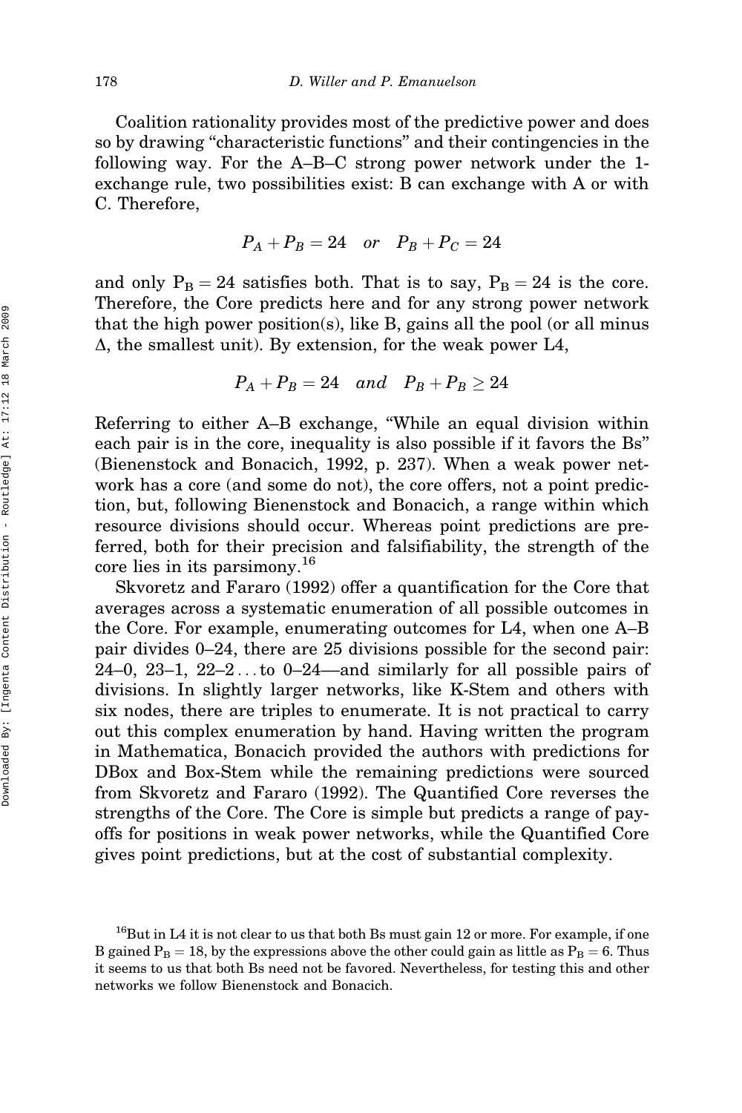Coalition rationality provides most of the predictive power and does so by drawing ''characteristic functions'' and their contingencies in the following way. For the A–B–C strong power network under the 1 exchange rule, two possibilities exist: B can exchange with A or with C. Therefore,

$$
P_A+P_B=24\quad or\quad P_B+P_C=24
$$

and only  $P_B = 24$  satisfies both. That is to say,  $P_B = 24$  is the core. Therefore, the Core predicts here and for any strong power network that the high power position(s), like B, gains all the pool (or all minus  $\Delta$ , the smallest unit). By extension, for the weak power L4,

$$
P_A+P_B=24 \quad and \quad P_B+P_B\geq 24
$$

Referring to either A–B exchange, ''While an equal division within each pair is in the core, inequality is also possible if it favors the Bs'' (Bienenstock and Bonacich, 1992, p. 237). When a weak power network has a core (and some do not), the core offers, not a point prediction, but, following Bienenstock and Bonacich, a range within which resource divisions should occur. Whereas point predictions are preferred, both for their precision and falsifiability, the strength of the core lies in its parsimony.16

Skvoretz and Fararo (1992) offer a quantification for the Core that averages across a systematic enumeration of all possible outcomes in the Core. For example, enumerating outcomes for L4, when one A–B pair divides 0–24, there are 25 divisions possible for the second pair: 24–0, 23–1, 22–2 $\dots$  to 0–24—and similarly for all possible pairs of divisions. In slightly larger networks, like K-Stem and others with six nodes, there are triples to enumerate. It is not practical to carry out this complex enumeration by hand. Having written the program in Mathematica, Bonacich provided the authors with predictions for DBox and Box-Stem while the remaining predictions were sourced from Skvoretz and Fararo (1992). The Quantified Core reverses the strengths of the Core. The Core is simple but predicts a range of payoffs for positions in weak power networks, while the Quantified Core gives point predictions, but at the cost of substantial complexity.

 $^{16}$ But in L4 it is not clear to us that both Bs must gain 12 or more. For example, if one B gained  $P_B = 18$ , by the expressions above the other could gain as little as  $P_B = 6$ . Thus it seems to us that both Bs need not be favored. Nevertheless, for testing this and other networks we follow Bienenstock and Bonacich.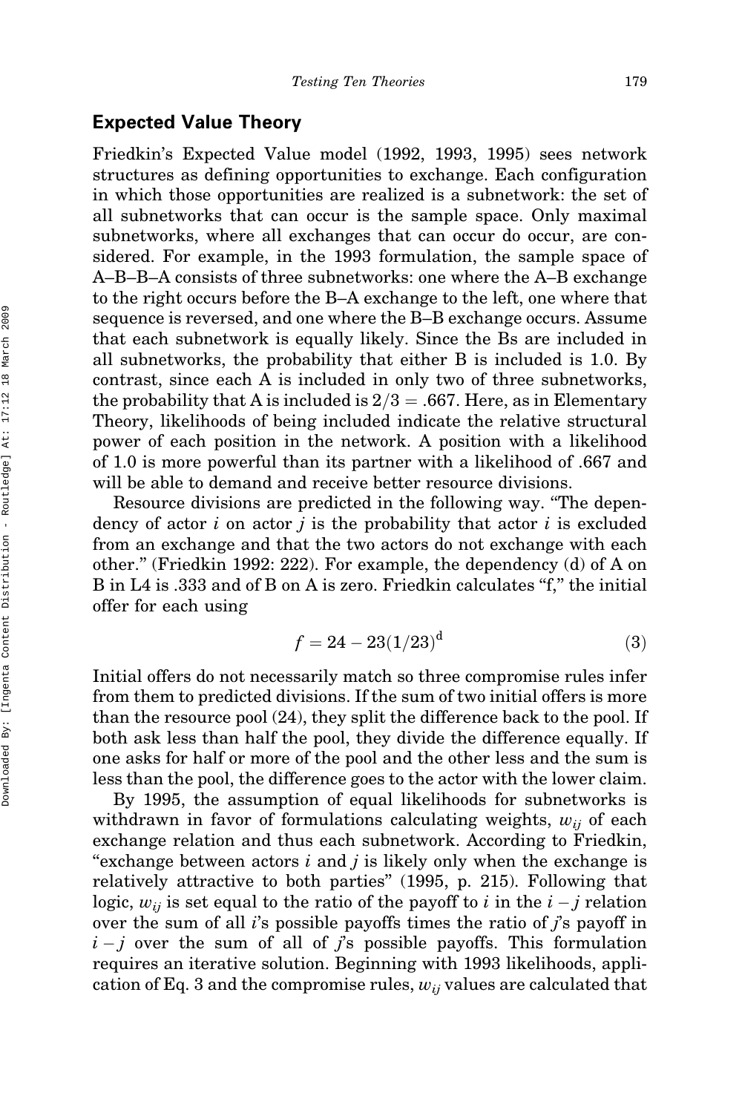#### Expected Value Theory

Friedkin's Expected Value model (1992, 1993, 1995) sees network structures as defining opportunities to exchange. Each configuration in which those opportunities are realized is a subnetwork: the set of all subnetworks that can occur is the sample space. Only maximal subnetworks, where all exchanges that can occur do occur, are considered. For example, in the 1993 formulation, the sample space of A–B–B–A consists of three subnetworks: one where the A–B exchange to the right occurs before the B–A exchange to the left, one where that sequence is reversed, and one where the B–B exchange occurs. Assume that each subnetwork is equally likely. Since the Bs are included in all subnetworks, the probability that either B is included is 1.0. By contrast, since each A is included in only two of three subnetworks, the probability that A is included is  $2/3 = .667$ . Here, as in Elementary Theory, likelihoods of being included indicate the relative structural power of each position in the network. A position with a likelihood of 1.0 is more powerful than its partner with a likelihood of .667 and will be able to demand and receive better resource divisions.

Resource divisions are predicted in the following way. ''The dependency of actor i on actor j is the probability that actor i is excluded from an exchange and that the two actors do not exchange with each other.'' (Friedkin 1992: 222). For example, the dependency (d) of A on B in L4 is .333 and of B on A is zero. Friedkin calculates "f," the initial offer for each using

$$
f = 24 - 23(1/23)^d \tag{3}
$$

Initial offers do not necessarily match so three compromise rules infer from them to predicted divisions. If the sum of two initial offers is more than the resource pool  $(24)$ , they split the difference back to the pool. If both ask less than half the pool, they divide the difference equally. If one asks for half or more of the pool and the other less and the sum is less than the pool, the difference goes to the actor with the lower claim.

By 1995, the assumption of equal likelihoods for subnetworks is withdrawn in favor of formulations calculating weights,  $w_{ii}$  of each exchange relation and thus each subnetwork. According to Friedkin, "exchange between actors  $i$  and  $j$  is likely only when the exchange is relatively attractive to both parties'' (1995, p. 215). Following that logic,  $w_{ii}$  is set equal to the ratio of the payoff to i in the  $i - j$  relation over the sum of all i's possible payoffs times the ratio of  $j$ 's payoff in  $i - j$  over the sum of all of j's possible payoffs. This formulation requires an iterative solution. Beginning with 1993 likelihoods, application of Eq. 3 and the compromise rules,  $w_{ij}$  values are calculated that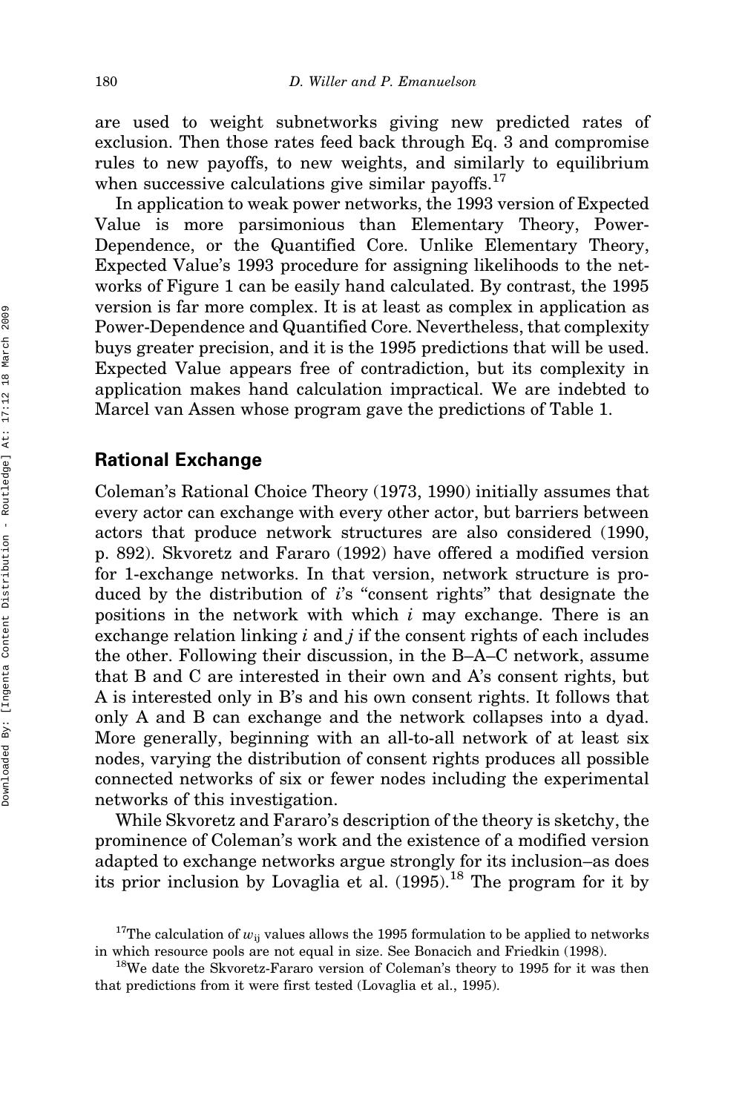are used to weight subnetworks giving new predicted rates of exclusion. Then those rates feed back through Eq. 3 and compromise rules to new payoffs, to new weights, and similarly to equilibrium when successive calculations give similar payoffs. $^{17}$ 

In application to weak power networks, the 1993 version of Expected Value is more parsimonious than Elementary Theory, Power-Dependence, or the Quantified Core. Unlike Elementary Theory, Expected Value's 1993 procedure for assigning likelihoods to the networks of Figure 1 can be easily hand calculated. By contrast, the 1995 version is far more complex. It is at least as complex in application as Power-Dependence and Quantified Core. Nevertheless, that complexity buys greater precision, and it is the 1995 predictions that will be used. Expected Value appears free of contradiction, but its complexity in application makes hand calculation impractical. We are indebted to Marcel van Assen whose program gave the predictions of Table 1.

#### Rational Exchange

Coleman's Rational Choice Theory (1973, 1990) initially assumes that every actor can exchange with every other actor, but barriers between actors that produce network structures are also considered (1990, p. 892). Skvoretz and Fararo (1992) have offered a modified version for 1-exchange networks. In that version, network structure is produced by the distribution of i's "consent rights" that designate the positions in the network with which  $i$  may exchange. There is an exchange relation linking  $i$  and  $j$  if the consent rights of each includes the other. Following their discussion, in the B–A–C network, assume that B and C are interested in their own and A's consent rights, but A is interested only in B's and his own consent rights. It follows that only A and B can exchange and the network collapses into a dyad. More generally, beginning with an all-to-all network of at least six nodes, varying the distribution of consent rights produces all possible connected networks of six or fewer nodes including the experimental networks of this investigation.

While Skvoretz and Fararo's description of the theory is sketchy, the prominence of Coleman's work and the existence of a modified version adapted to exchange networks argue strongly for its inclusion–as does its prior inclusion by Lovaglia et al.  $(1995)^{18}$  The program for it by

<sup>&</sup>lt;sup>17</sup>The calculation of  $w_{ij}$  values allows the 1995 formulation to be applied to networks in which resource pools are not equal in size. See Bonacich and Friedkin (1998).<br><sup>18</sup>We date the Skvoretz-Fararo version of Coleman's theory to 1995 for it was then

that predictions from it were first tested (Lovaglia et al., 1995).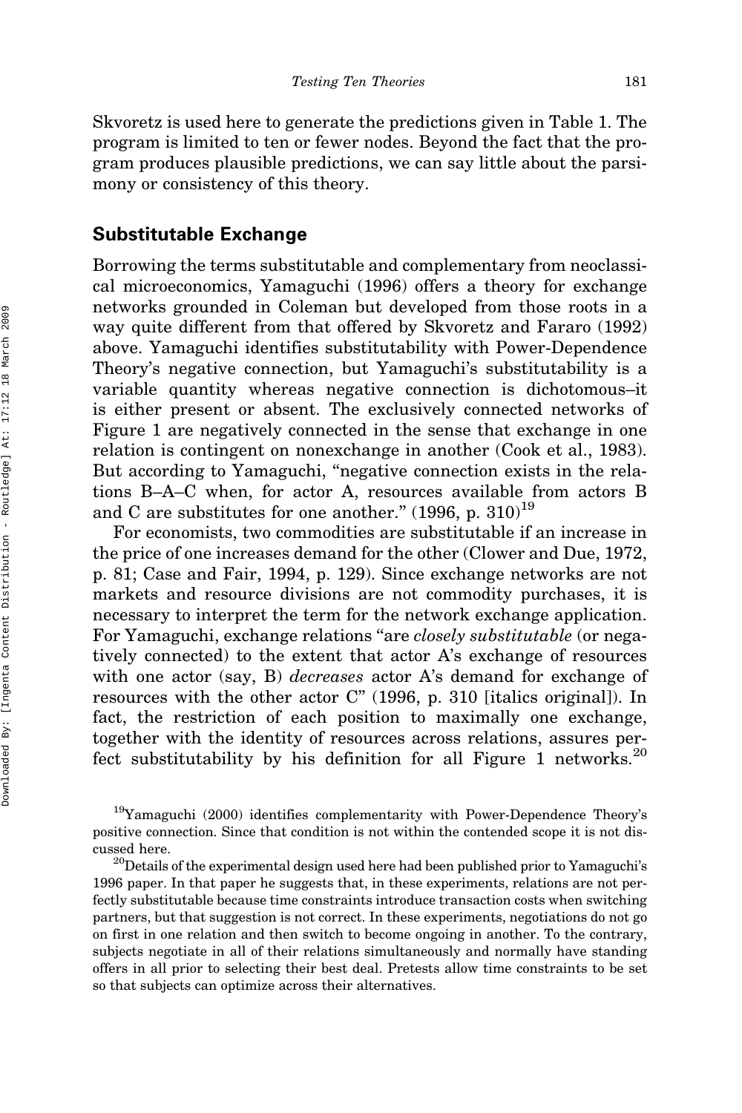Skvoretz is used here to generate the predictions given in Table 1. The program is limited to ten or fewer nodes. Beyond the fact that the program produces plausible predictions, we can say little about the parsimony or consistency of this theory.

#### Substitutable Exchange

Borrowing the terms substitutable and complementary from neoclassical microeconomics, Yamaguchi (1996) offers a theory for exchange networks grounded in Coleman but developed from those roots in a way quite different from that offered by Skvoretz and Fararo (1992) above. Yamaguchi identifies substitutability with Power-Dependence Theory's negative connection, but Yamaguchi's substitutability is a variable quantity whereas negative connection is dichotomous–it is either present or absent. The exclusively connected networks of Figure 1 are negatively connected in the sense that exchange in one relation is contingent on nonexchange in another (Cook et al., 1983). But according to Yamaguchi, "negative connection exists in the relations B–A–C when, for actor A, resources available from actors B and C are substitutes for one another."  $(1996, p. 310)^{19}$ 

For economists, two commodities are substitutable if an increase in the price of one increases demand for the other (Clower and Due, 1972, p. 81; Case and Fair, 1994, p. 129). Since exchange networks are not markets and resource divisions are not commodity purchases, it is necessary to interpret the term for the network exchange application. For Yamaguchi, exchange relations "are *closely substitutable* (or negatively connected) to the extent that actor A's exchange of resources with one actor (say, B) *decreases* actor A's demand for exchange of resources with the other actor C'' (1996, p. 310 [italics original]). In fact, the restriction of each position to maximally one exchange, together with the identity of resources across relations, assures perfect substitutability by his definition for all Figure 1 networks.<sup>20</sup>

<sup>&</sup>lt;sup>19</sup>Yamaguchi (2000) identifies complementarity with Power-Dependence Theory's positive connection. Since that condition is not within the contended scope it is not discussed here.  $^{20}$ Details of the experimental design used here had been published prior to Yamaguchi's

<sup>1996</sup> paper. In that paper he suggests that, in these experiments, relations are not perfectly substitutable because time constraints introduce transaction costs when switching partners, but that suggestion is not correct. In these experiments, negotiations do not go on first in one relation and then switch to become ongoing in another. To the contrary, subjects negotiate in all of their relations simultaneously and normally have standing offers in all prior to selecting their best deal. Pretests allow time constraints to be set so that subjects can optimize across their alternatives.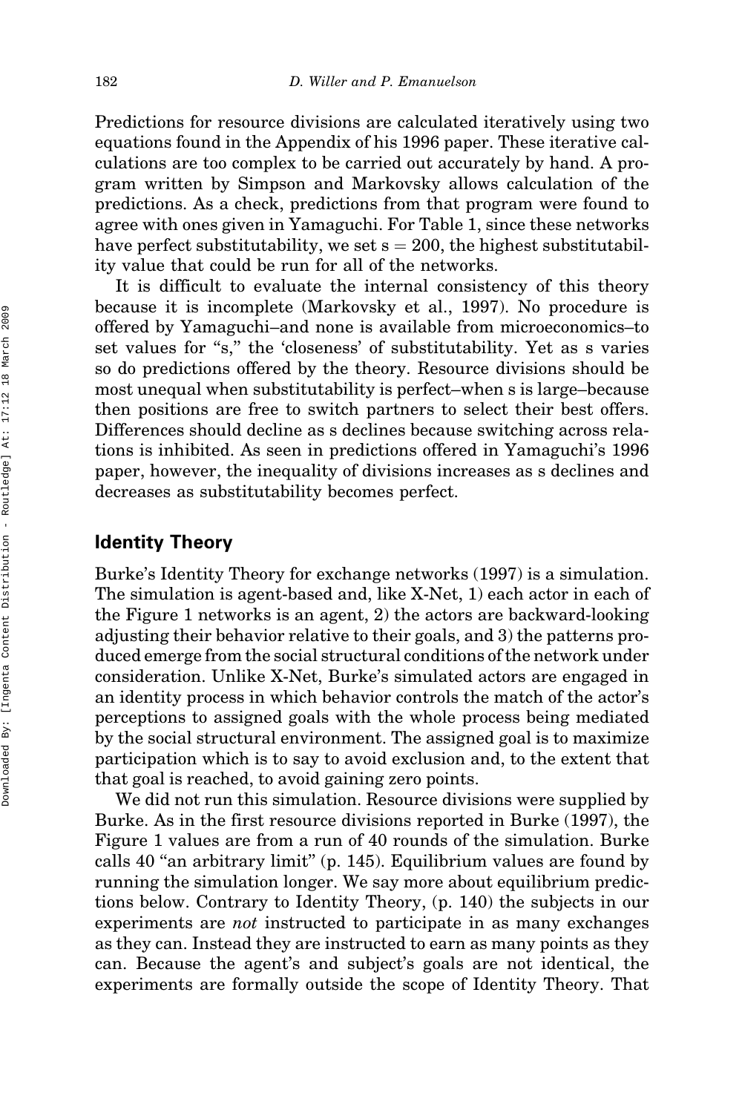Predictions for resource divisions are calculated iteratively using two equations found in the Appendix of his 1996 paper. These iterative calculations are too complex to be carried out accurately by hand. A program written by Simpson and Markovsky allows calculation of the predictions. As a check, predictions from that program were found to agree with ones given in Yamaguchi. For Table 1, since these networks have perfect substitutability, we set  $s = 200$ , the highest substitutability value that could be run for all of the networks.

It is difficult to evaluate the internal consistency of this theory because it is incomplete (Markovsky et al., 1997). No procedure is offered by Yamaguchi–and none is available from microeconomics–to set values for "s," the 'closeness' of substitutability. Yet as s varies so do predictions offered by the theory. Resource divisions should be most unequal when substitutability is perfect–when s is large–because then positions are free to switch partners to select their best offers. Differences should decline as s declines because switching across relations is inhibited. As seen in predictions offered in Yamaguchi's 1996 paper, however, the inequality of divisions increases as s declines and decreases as substitutability becomes perfect.

#### Identity Theory

Burke's Identity Theory for exchange networks (1997) is a simulation. The simulation is agent-based and, like X-Net, 1) each actor in each of the Figure 1 networks is an agent, 2) the actors are backward-looking adjusting their behavior relative to their goals, and 3) the patterns produced emerge from the social structural conditions of the network under consideration. Unlike X-Net, Burke's simulated actors are engaged in an identity process in which behavior controls the match of the actor's perceptions to assigned goals with the whole process being mediated by the social structural environment. The assigned goal is to maximize participation which is to say to avoid exclusion and, to the extent that that goal is reached, to avoid gaining zero points.

We did not run this simulation. Resource divisions were supplied by Burke. As in the first resource divisions reported in Burke (1997), the Figure 1 values are from a run of 40 rounds of the simulation. Burke calls 40 "an arbitrary limit" (p. 145). Equilibrium values are found by running the simulation longer. We say more about equilibrium predictions below. Contrary to Identity Theory, (p. 140) the subjects in our experiments are not instructed to participate in as many exchanges as they can. Instead they are instructed to earn as many points as they can. Because the agent's and subject's goals are not identical, the experiments are formally outside the scope of Identity Theory. That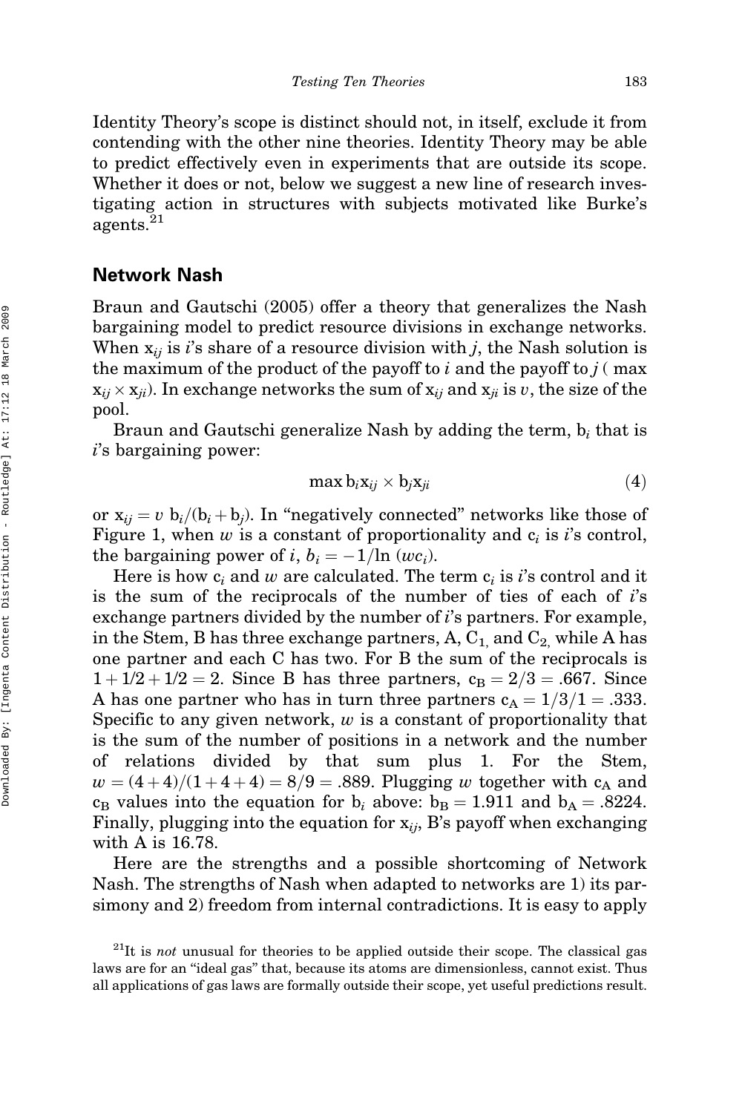Identity Theory's scope is distinct should not, in itself, exclude it from contending with the other nine theories. Identity Theory may be able to predict effectively even in experiments that are outside its scope. Whether it does or not, below we suggest a new line of research investigating action in structures with subjects motivated like Burke's agents.<sup>21</sup>

#### Network Nash

Braun and Gautschi (2005) offer a theory that generalizes the Nash bargaining model to predict resource divisions in exchange networks. When  $x_{ij}$  is i's share of a resource division with j, the Nash solution is the maximum of the product of the payoff to  $i$  and the payoff to  $j$  (max  $\mathrm{x}_{ij}\!\times\!\mathrm{x}_{ji}$ ). In exchange networks the sum of  $\mathrm{x}_{ij}$  and  $\mathrm{x}_{ji}$  is  $v$  , the size of the pool.

Braun and Gautschi generalize Nash by adding the term,  $b_i$  that is i's bargaining power:

$$
\max b_i x_{ij} \times b_j x_{ji} \tag{4}
$$

or  $x_{ii}=v b_i/(b_i + b_i)$ . In "negatively connected" networks like those of Figure 1, when w is a constant of proportionality and  $c_i$  is i's control, the bargaining power of i,  $b_i = -1/\ln (wc_i)$ .

Here is how  $c_i$  and w are calculated. The term  $c_i$  is i's control and it is the sum of the reciprocals of the number of ties of each of i's exchange partners divided by the number of *i*'s partners. For example, in the Stem, B has three exchange partners,  $A, C_1$  and  $C_2$  while A has one partner and each C has two. For B the sum of the reciprocals is  $1 + 1/2 + 1/2 = 2$ . Since B has three partners,  $c_B = 2/3 = .667$ . Since A has one partner who has in turn three partners  $c_A = 1/3/1 = .333$ . Specific to any given network,  $w$  is a constant of proportionality that is the sum of the number of positions in a network and the number of relations divided by that sum plus 1. For the Stem,  $w = (4 + 4)/(1 + 4 + 4) = 8/9 = .889$ . Plugging w together with c<sub>A</sub> and  $c_B$  values into the equation for  $b_i$  above:  $b_B = 1.911$  and  $b_A = .8224$ . Finally, plugging into the equation for  $x_{ij}$ , B's payoff when exchanging with A is 16.78.

Here are the strengths and a possible shortcoming of Network Nash. The strengths of Nash when adapted to networks are 1) its parsimony and 2) freedom from internal contradictions. It is easy to apply

 $^{21}$ It is *not* unusual for theories to be applied outside their scope. The classical gas laws are for an ''ideal gas'' that, because its atoms are dimensionless, cannot exist. Thus all applications of gas laws are formally outside their scope, yet useful predictions result.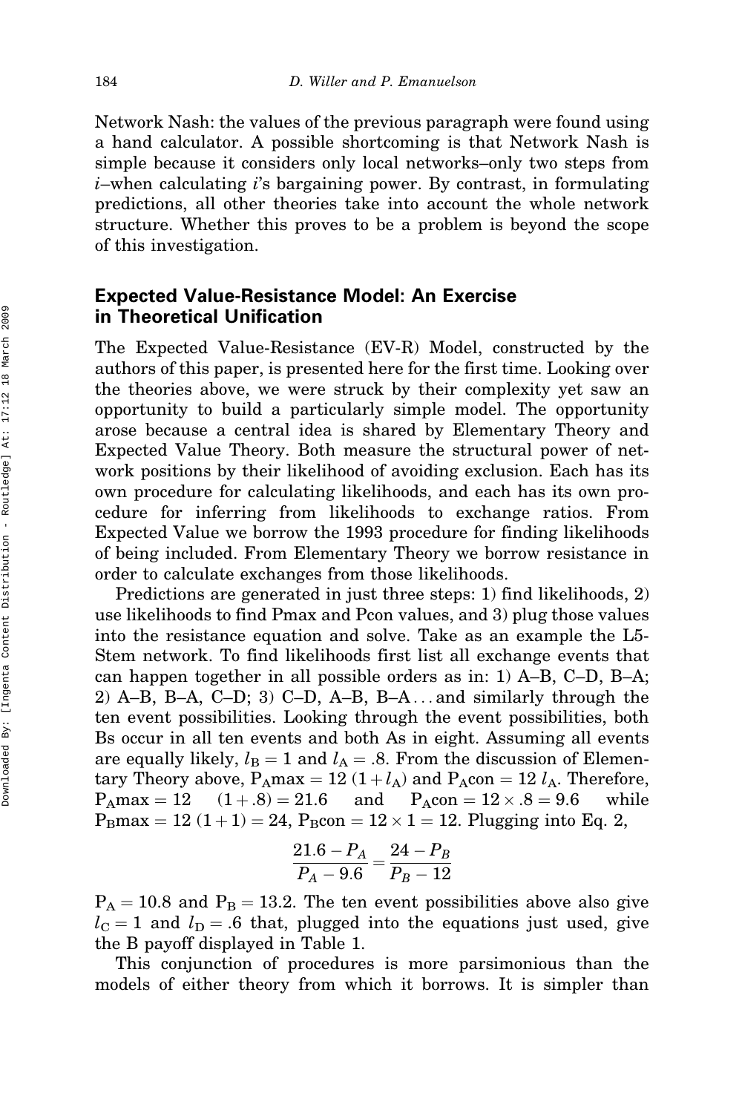Network Nash: the values of the previous paragraph were found using a hand calculator. A possible shortcoming is that Network Nash is simple because it considers only local networks–only two steps from  $i$ –when calculating i's bargaining power. By contrast, in formulating predictions, all other theories take into account the whole network structure. Whether this proves to be a problem is beyond the scope of this investigation.

## Expected Value-Resistance Model: An Exercise in Theoretical Unification

The Expected Value-Resistance (EV-R) Model, constructed by the authors of this paper, is presented here for the first time. Looking over the theories above, we were struck by their complexity yet saw an opportunity to build a particularly simple model. The opportunity arose because a central idea is shared by Elementary Theory and Expected Value Theory. Both measure the structural power of network positions by their likelihood of avoiding exclusion. Each has its own procedure for calculating likelihoods, and each has its own procedure for inferring from likelihoods to exchange ratios. From Expected Value we borrow the 1993 procedure for finding likelihoods of being included. From Elementary Theory we borrow resistance in order to calculate exchanges from those likelihoods.

Predictions are generated in just three steps: 1) find likelihoods, 2) use likelihoods to find Pmax and Pcon values, and 3) plug those values into the resistance equation and solve. Take as an example the L5- Stem network. To find likelihoods first list all exchange events that can happen together in all possible orders as in: 1) A–B, C–D, B–A; 2) A–B, B–A, C–D; 3) C–D, A–B, B–A ... and similarly through the ten event possibilities. Looking through the event possibilities, both Bs occur in all ten events and both As in eight. Assuming all events are equally likely,  $l_B = 1$  and  $l_A = .8$ . From the discussion of Elementary Theory above,  $P_A max = 12 (1 + l_A)$  and  $P_A con = 12 l_A$ . Therefore,  $P_A$ max = 12 (1+.8) = 21.6 and  $P_A$ con = 12 × .8 = 9.6 while  $P_{\rm B}$ max = 12 (1+1) = 24,  $P_{\rm B}$ con = 12 × 1 = 12. Plugging into Eq. 2,

$$
\frac{21.6 - P_A}{P_A - 9.6} = \frac{24 - P_B}{P_B - 12}
$$

 $P_A = 10.8$  and  $P_B = 13.2$ . The ten event possibilities above also give  $l_c = 1$  and  $l_p = .6$  that, plugged into the equations just used, give the B payoff displayed in Table 1.

This conjunction of procedures is more parsimonious than the models of either theory from which it borrows. It is simpler than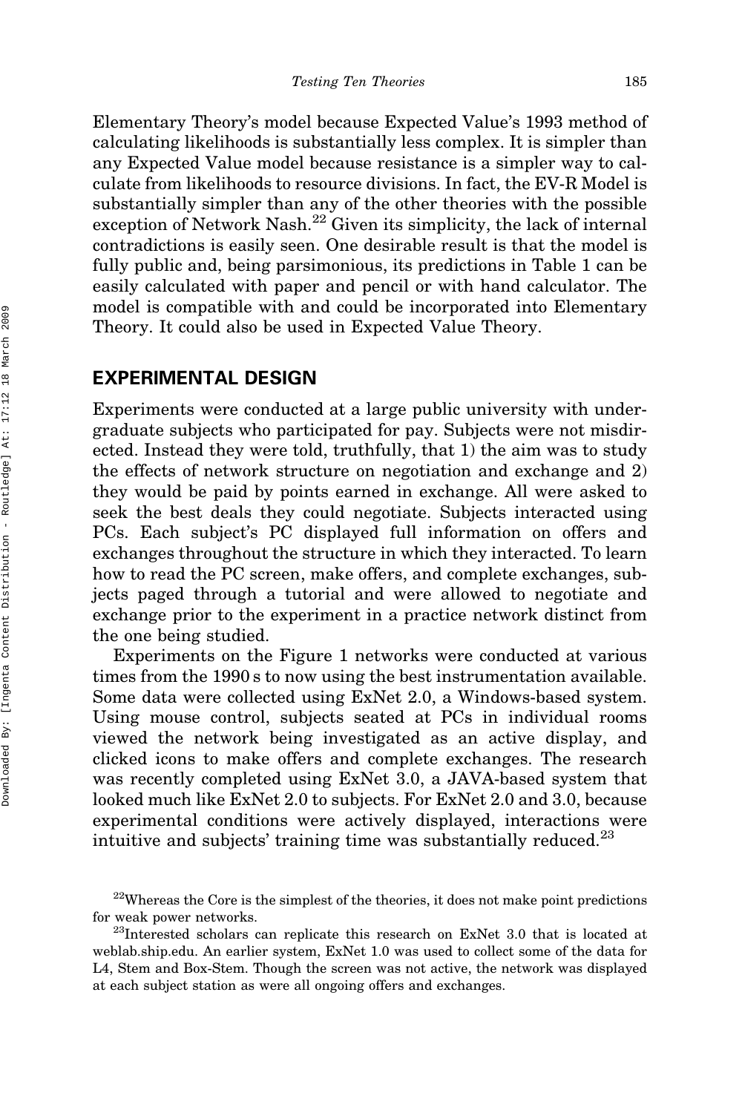Elementary Theory's model because Expected Value's 1993 method of calculating likelihoods is substantially less complex. It is simpler than any Expected Value model because resistance is a simpler way to calculate from likelihoods to resource divisions. In fact, the EV-R Model is substantially simpler than any of the other theories with the possible exception of Network Nash. $^{22}$  Given its simplicity, the lack of internal contradictions is easily seen. One desirable result is that the model is fully public and, being parsimonious, its predictions in Table 1 can be easily calculated with paper and pencil or with hand calculator. The model is compatible with and could be incorporated into Elementary Theory. It could also be used in Expected Value Theory.

## EXPERIMENTAL DESIGN

Experiments were conducted at a large public university with undergraduate subjects who participated for pay. Subjects were not misdirected. Instead they were told, truthfully, that 1) the aim was to study the effects of network structure on negotiation and exchange and 2) they would be paid by points earned in exchange. All were asked to seek the best deals they could negotiate. Subjects interacted using PCs. Each subject's PC displayed full information on offers and exchanges throughout the structure in which they interacted. To learn how to read the PC screen, make offers, and complete exchanges, subjects paged through a tutorial and were allowed to negotiate and exchange prior to the experiment in a practice network distinct from the one being studied.

Experiments on the Figure 1 networks were conducted at various times from the 1990 s to now using the best instrumentation available. Some data were collected using ExNet 2.0, a Windows-based system. Using mouse control, subjects seated at PCs in individual rooms viewed the network being investigated as an active display, and clicked icons to make offers and complete exchanges. The research was recently completed using ExNet 3.0, a JAVA-based system that looked much like ExNet 2.0 to subjects. For ExNet 2.0 and 3.0, because experimental conditions were actively displayed, interactions were intuitive and subjects' training time was substantially reduced. $^{23}$ 

 $22$ Whereas the Core is the simplest of the theories, it does not make point predictions for weak power networks.<br><sup>23</sup>Interested scholars can replicate this research on ExNet 3.0 that is located at

weblab.ship.edu. An earlier system, ExNet 1.0 was used to collect some of the data for L4, Stem and Box-Stem. Though the screen was not active, the network was displayed at each subject station as were all ongoing offers and exchanges.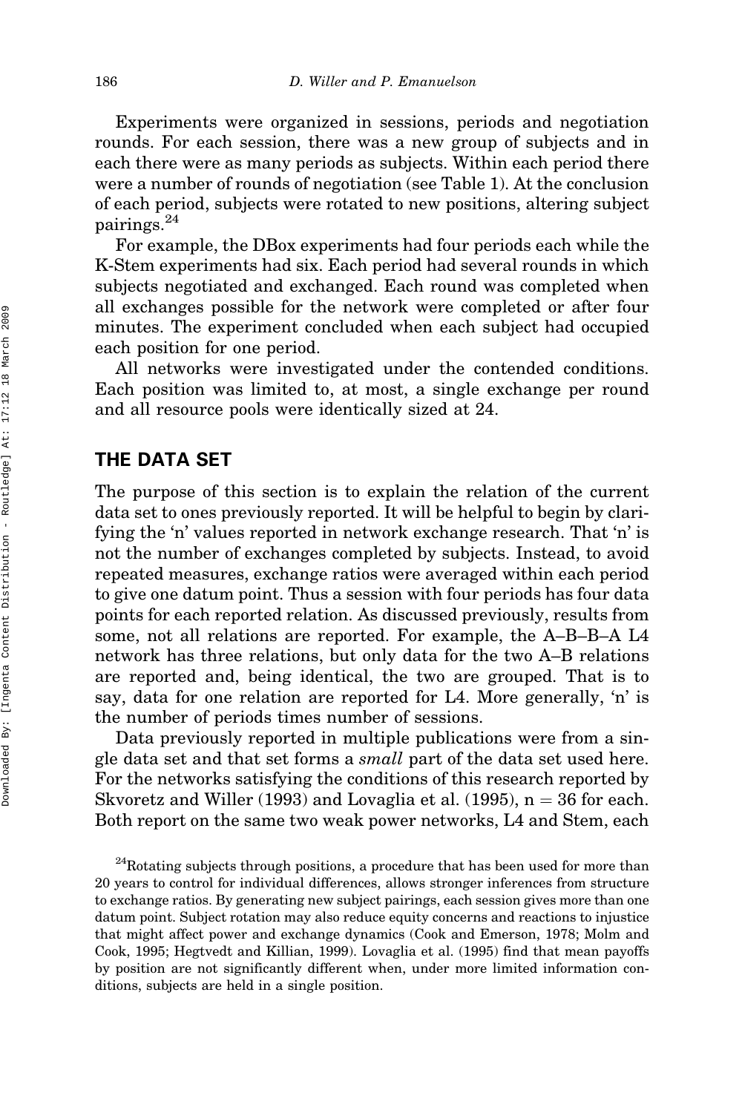Experiments were organized in sessions, periods and negotiation rounds. For each session, there was a new group of subjects and in each there were as many periods as subjects. Within each period there were a number of rounds of negotiation (see Table 1). At the conclusion of each period, subjects were rotated to new positions, altering subject pairings.<sup>24</sup>

For example, the DBox experiments had four periods each while the K-Stem experiments had six. Each period had several rounds in which subjects negotiated and exchanged. Each round was completed when all exchanges possible for the network were completed or after four minutes. The experiment concluded when each subject had occupied each position for one period.

All networks were investigated under the contended conditions. Each position was limited to, at most, a single exchange per round and all resource pools were identically sized at 24.

#### THE DATA SET

The purpose of this section is to explain the relation of the current data set to ones previously reported. It will be helpful to begin by clarifying the 'n' values reported in network exchange research. That 'n' is not the number of exchanges completed by subjects. Instead, to avoid repeated measures, exchange ratios were averaged within each period to give one datum point. Thus a session with four periods has four data points for each reported relation. As discussed previously, results from some, not all relations are reported. For example, the A–B–B–A L4 network has three relations, but only data for the two A–B relations are reported and, being identical, the two are grouped. That is to say, data for one relation are reported for L4. More generally, 'n' is the number of periods times number of sessions.

Data previously reported in multiple publications were from a single data set and that set forms a small part of the data set used here. For the networks satisfying the conditions of this research reported by Skvoretz and Willer (1993) and Lovaglia et al. (1995),  $n = 36$  for each. Both report on the same two weak power networks, L4 and Stem, each

<sup>&</sup>lt;sup>24</sup>Rotating subjects through positions, a procedure that has been used for more than 20 years to control for individual differences, allows stronger inferences from structure to exchange ratios. By generating new subject pairings, each session gives more than one datum point. Subject rotation may also reduce equity concerns and reactions to injustice that might affect power and exchange dynamics (Cook and Emerson, 1978; Molm and Cook, 1995; Hegtvedt and Killian, 1999). Lovaglia et al. (1995) find that mean payoffs by position are not significantly different when, under more limited information conditions, subjects are held in a single position.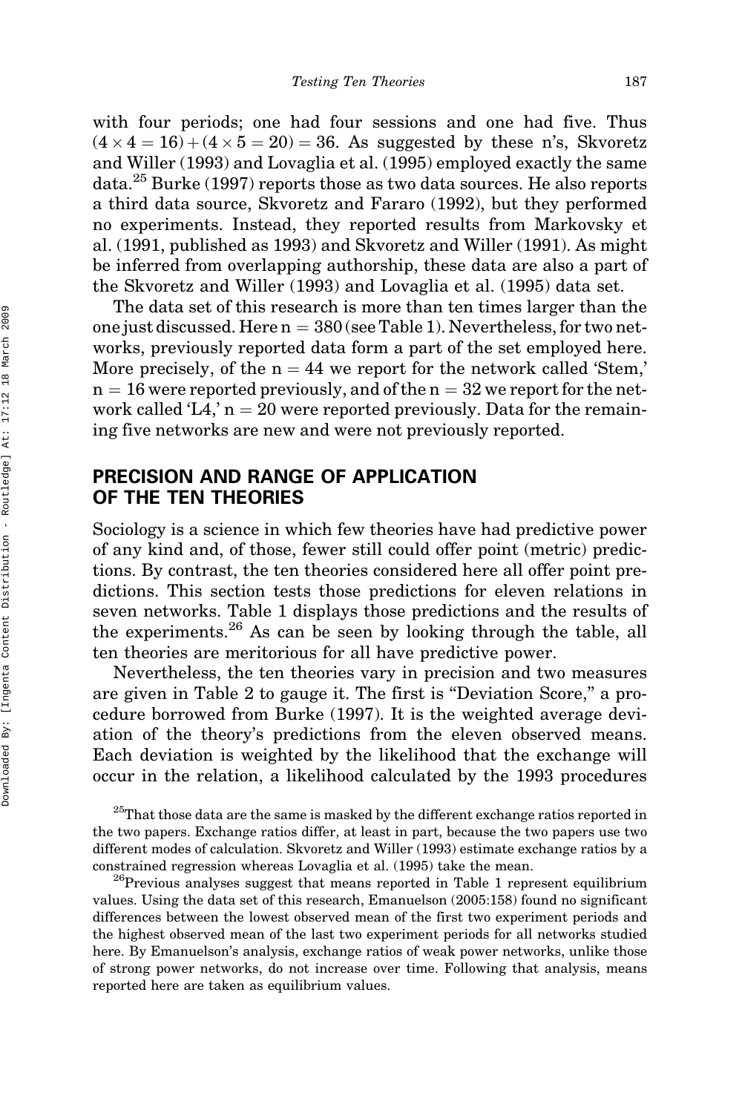with four periods; one had four sessions and one had five. Thus  $(4 \times 4 = 16) + (4 \times 5 = 20) = 36$ . As suggested by these n's, Skvoretz and Willer (1993) and Lovaglia et al. (1995) employed exactly the same data.25 Burke (1997) reports those as two data sources. He also reports a third data source, Skvoretz and Fararo (1992), but they performed no experiments. Instead, they reported results from Markovsky et al. (1991, published as 1993) and Skvoretz and Willer (1991). As might be inferred from overlapping authorship, these data are also a part of the Skvoretz and Willer (1993) and Lovaglia et al. (1995) data set.

The data set of this research is more than ten times larger than the one just discussed. Here  $n = 380$  (see Table 1). Nevertheless, for two networks, previously reported data form a part of the set employed here. More precisely, of the  $n = 44$  we report for the network called 'Stem,'  $n = 16$  were reported previously, and of the  $n = 32$  we report for the network called 'L4,'  $n = 20$  were reported previously. Data for the remaining five networks are new and were not previously reported.

# PRECISION AND RANGE OF APPLICATION OF THE TEN THEORIES

Sociology is a science in which few theories have had predictive power of any kind and, of those, fewer still could offer point (metric) predictions. By contrast, the ten theories considered here all offer point predictions. This section tests those predictions for eleven relations in seven networks. Table 1 displays those predictions and the results of the experiments.<sup>26</sup> As can be seen by looking through the table, all ten theories are meritorious for all have predictive power.

Nevertheless, the ten theories vary in precision and two measures are given in Table 2 to gauge it. The first is "Deviation Score," a procedure borrowed from Burke (1997). It is the weighted average deviation of the theory's predictions from the eleven observed means. Each deviation is weighted by the likelihood that the exchange will occur in the relation, a likelihood calculated by the 1993 procedures

values. Using the data set of this research, Emanuelson (2005:158) found no significant differences between the lowest observed mean of the first two experiment periods and the highest observed mean of the last two experiment periods for all networks studied here. By Emanuelson's analysis, exchange ratios of weak power networks, unlike those of strong power networks, do not increase over time. Following that analysis, means reported here are taken as equilibrium values.

<sup>&</sup>lt;sup>25</sup>That those data are the same is masked by the different exchange ratios reported in the two papers. Exchange ratios differ, at least in part, because the two papers use two different modes of calculation. Skvoretz and Willer (1993) estimate exchange ratios by a constrained regression whereas Lovaglia et al. (1995) take the mean.<br><sup>26</sup>Previous analyses suggest that means reported in Table 1 represent equilibrium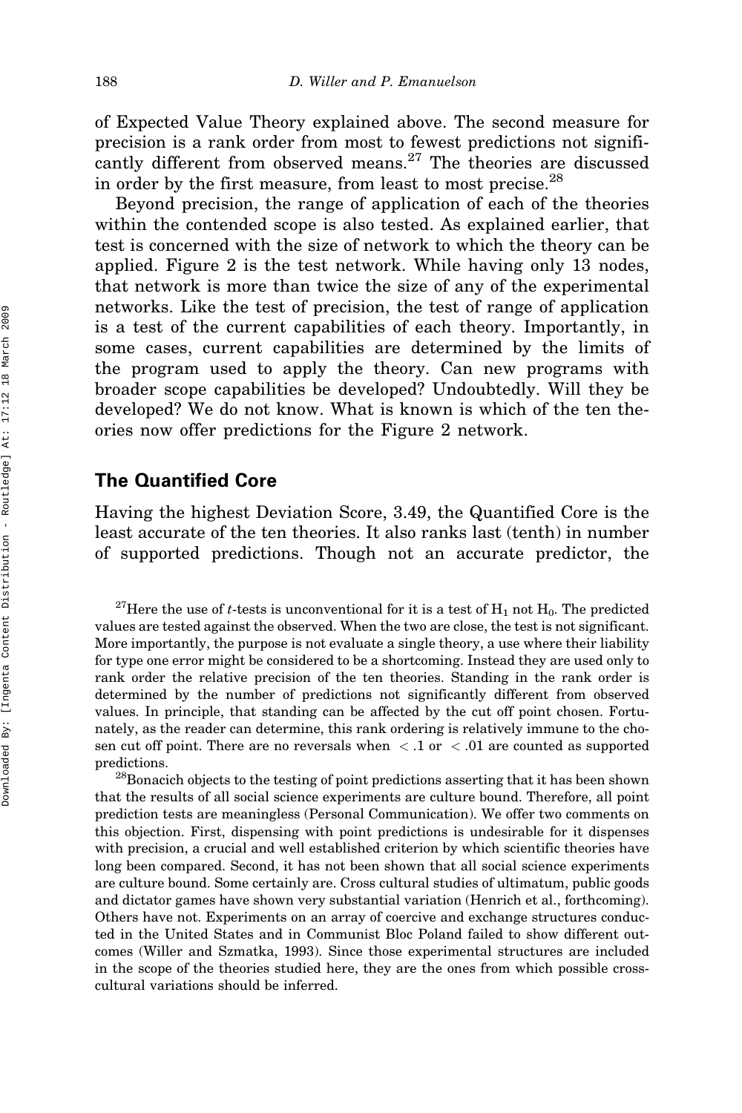of Expected Value Theory explained above. The second measure for precision is a rank order from most to fewest predictions not significantly different from observed means.<sup>27</sup> The theories are discussed in order by the first measure, from least to most precise.<sup>28</sup>

Beyond precision, the range of application of each of the theories within the contended scope is also tested. As explained earlier, that test is concerned with the size of network to which the theory can be applied. Figure 2 is the test network. While having only 13 nodes, that network is more than twice the size of any of the experimental networks. Like the test of precision, the test of range of application is a test of the current capabilities of each theory. Importantly, in some cases, current capabilities are determined by the limits of the program used to apply the theory. Can new programs with broader scope capabilities be developed? Undoubtedly. Will they be developed? We do not know. What is known is which of the ten theories now offer predictions for the Figure 2 network.

## The Quantified Core

Having the highest Deviation Score, 3.49, the Quantified Core is the least accurate of the ten theories. It also ranks last (tenth) in number of supported predictions. Though not an accurate predictor, the

<sup>27</sup>Here the use of t-tests is unconventional for it is a test of  $H_1$  not  $H_0$ . The predicted values are tested against the observed. When the two are close, the test is not significant. More importantly, the purpose is not evaluate a single theory, a use where their liability for type one error might be considered to be a shortcoming. Instead they are used only to rank order the relative precision of the ten theories. Standing in the rank order is determined by the number of predictions not significantly different from observed values. In principle, that standing can be affected by the cut off point chosen. Fortunately, as the reader can determine, this rank ordering is relatively immune to the chosen cut off point. There are no reversals when  $\langle .1 \text{ or } \langle .01 \text{ are counted as supported} \rangle$ 

predictions.<br><sup>28</sup>Bonacich objects to the testing of point predictions asserting that it has been shown that the results of all social science experiments are culture bound. Therefore, all point prediction tests are meaningless (Personal Communication). We offer two comments on this objection. First, dispensing with point predictions is undesirable for it dispenses with precision, a crucial and well established criterion by which scientific theories have long been compared. Second, it has not been shown that all social science experiments are culture bound. Some certainly are. Cross cultural studies of ultimatum, public goods and dictator games have shown very substantial variation (Henrich et al., forthcoming). Others have not. Experiments on an array of coercive and exchange structures conducted in the United States and in Communist Bloc Poland failed to show different outcomes (Willer and Szmatka, 1993). Since those experimental structures are included in the scope of the theories studied here, they are the ones from which possible crosscultural variations should be inferred.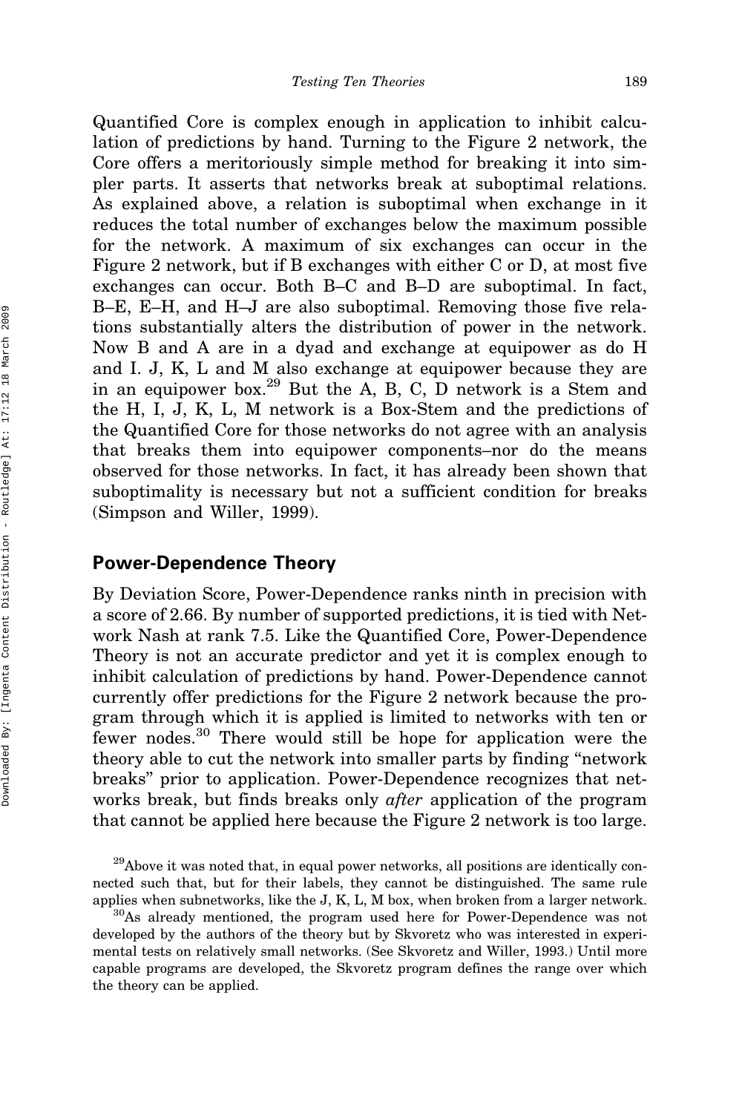Quantified Core is complex enough in application to inhibit calculation of predictions by hand. Turning to the Figure 2 network, the Core offers a meritoriously simple method for breaking it into simpler parts. It asserts that networks break at suboptimal relations. As explained above, a relation is suboptimal when exchange in it reduces the total number of exchanges below the maximum possible for the network. A maximum of six exchanges can occur in the Figure 2 network, but if B exchanges with either C or D, at most five exchanges can occur. Both B–C and B–D are suboptimal. In fact, B–E, E–H, and H–J are also suboptimal. Removing those five relations substantially alters the distribution of power in the network. Now B and A are in a dyad and exchange at equipower as do H and I. J, K, L and M also exchange at equipower because they are in an equipower box. $29$  But the A, B, C, D network is a Stem and the H, I, J, K, L, M network is a Box-Stem and the predictions of the Quantified Core for those networks do not agree with an analysis that breaks them into equipower components–nor do the means observed for those networks. In fact, it has already been shown that suboptimality is necessary but not a sufficient condition for breaks (Simpson and Willer, 1999).

#### Power-Dependence Theory

By Deviation Score, Power-Dependence ranks ninth in precision with a score of 2.66. By number of supported predictions, it is tied with Network Nash at rank 7.5. Like the Quantified Core, Power-Dependence Theory is not an accurate predictor and yet it is complex enough to inhibit calculation of predictions by hand. Power-Dependence cannot currently offer predictions for the Figure 2 network because the program through which it is applied is limited to networks with ten or fewer nodes.30 There would still be hope for application were the theory able to cut the network into smaller parts by finding ''network breaks'' prior to application. Power-Dependence recognizes that networks break, but finds breaks only *after* application of the program that cannot be applied here because the Figure 2 network is too large.

<sup>29</sup>Above it was noted that, in equal power networks, all positions are identically connected such that, but for their labels, they cannot be distinguished. The same rule applies when subnetworks, like the J, K, L, M box, when broken from a larger network.  $^{30}$ As already mentioned, the program used here for Power-Dependence was not

developed by the authors of the theory but by Skvoretz who was interested in experimental tests on relatively small networks. (See Skvoretz and Willer, 1993.) Until more capable programs are developed, the Skvoretz program defines the range over which the theory can be applied.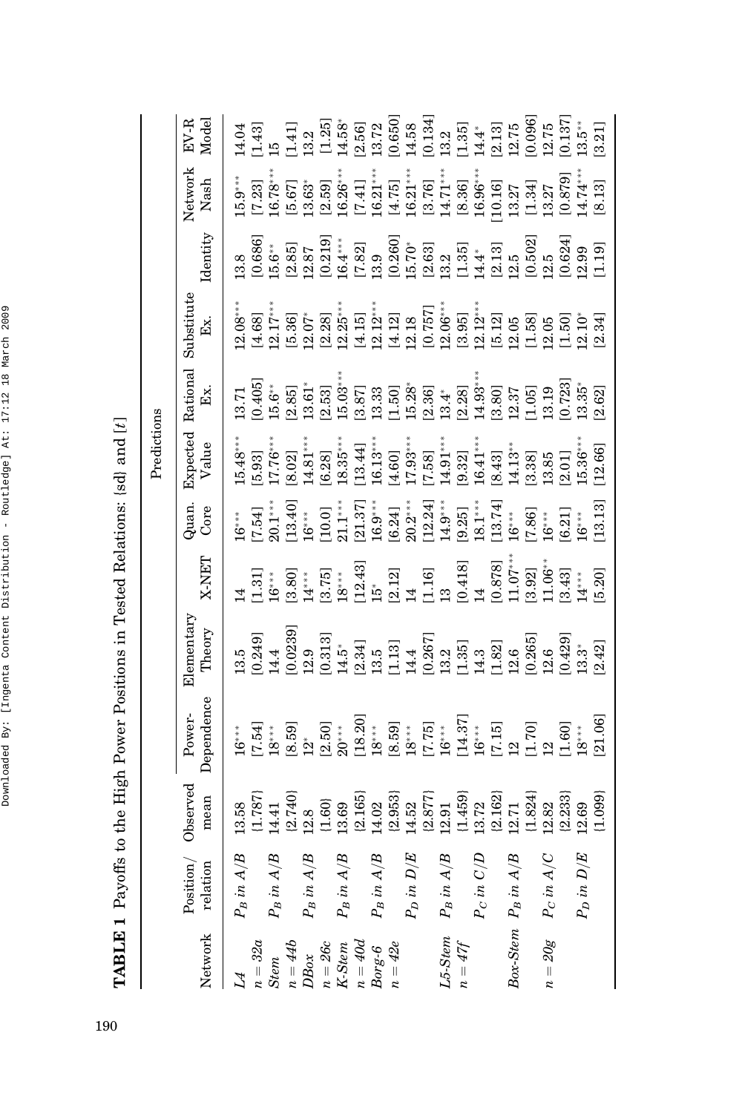| j                                                                                                                    |
|----------------------------------------------------------------------------------------------------------------------|
| j<br>i                                                                                                               |
| i<br>֖֖֖֖֧֧֧֧֧֧֧֧֧֧֧֧֧֖֧֧֧֧֧֧֚֚֚֚֚֚֚֚֚֚֚֚֚֚֚֚֚֚֚֚֚֚֡֬֓֟֓֟֓֓֓֟֓֓֝֬֓֓֟֓֬֓֝֬֓֟֬֝֬֝֬֝֬֝֬֟֩֩֕֓֝֬֝֬֝֬֝<br>֧֧֪֪֪֪֪֪֪֪֪֪֪֪֜֜ |
| ĺ                                                                                                                    |
| -<br>!                                                                                                               |
| $\ddot{\cdot}$<br>i                                                                                                  |
| l                                                                                                                    |
| ,<br>;<br>;<br>i                                                                                                     |
| i<br>Shin<br>$\frac{1}{2}$                                                                                           |
|                                                                                                                      |
| )<br>}                                                                                                               |
|                                                                                                                      |
| F 1 F 1 F 1 F 1 F<br>i<br>i                                                                                          |

|                                                                        |                         |                  |                      |                      |              |                                                                                                                                                                                                                                                                                                                       | Predictions                                                                                                                                                                                                                                                                                             |                          |                                                                                                                                                                                                                                                                                                                                                                                                                                                                |                                                                                                                                                                                                                                                                                                                                   |                                                                                                                                                                                                                                                                                                             |               |
|------------------------------------------------------------------------|-------------------------|------------------|----------------------|----------------------|--------------|-----------------------------------------------------------------------------------------------------------------------------------------------------------------------------------------------------------------------------------------------------------------------------------------------------------------------|---------------------------------------------------------------------------------------------------------------------------------------------------------------------------------------------------------------------------------------------------------------------------------------------------------|--------------------------|----------------------------------------------------------------------------------------------------------------------------------------------------------------------------------------------------------------------------------------------------------------------------------------------------------------------------------------------------------------------------------------------------------------------------------------------------------------|-----------------------------------------------------------------------------------------------------------------------------------------------------------------------------------------------------------------------------------------------------------------------------------------------------------------------------------|-------------------------------------------------------------------------------------------------------------------------------------------------------------------------------------------------------------------------------------------------------------------------------------------------------------|---------------|
| Network                                                                | Position/<br>relation   | Observed<br>mean | Dependence<br>Power- | Elementary<br>Theory | <b>TAN-X</b> | Quan.<br>Core                                                                                                                                                                                                                                                                                                         | Value                                                                                                                                                                                                                                                                                                   | Expected Rational<br>Ex. | Substitute<br>Ex.                                                                                                                                                                                                                                                                                                                                                                                                                                              | Identity                                                                                                                                                                                                                                                                                                                          | Network<br>Nash                                                                                                                                                                                                                                                                                             | Model<br>EV-R |
|                                                                        | $P_B$ in $A/B$          |                  |                      |                      |              |                                                                                                                                                                                                                                                                                                                       |                                                                                                                                                                                                                                                                                                         |                          |                                                                                                                                                                                                                                                                                                                                                                                                                                                                |                                                                                                                                                                                                                                                                                                                                   |                                                                                                                                                                                                                                                                                                             |               |
|                                                                        |                         |                  |                      |                      |              | $\begin{array}{l} 16^{**} \\ 16^{**} \\ 261^{**} \\ 2701^{**} \\ 281^{**} \\ 1840 \\ 1630 \\ 1610 \\ 1610 \\ 1610 \\ 1610 \\ 1610 \\ 1610 \\ 1621 \\ 1630 \\ 1630 \\ 1610 \\ 1621 \\ 1631 \\ 1610 \\ 1631 \\ 1641 \\ 1650 \\ 1661 \\ 1611 \\ 1611 \\ 1611 \\ 1611 \\ 1611 \\ 1611 \\ 1611 \\ 1611 \\ 1611 \\ 1611 \\$ | $\begin{array}{l} 15.48^{**} \\ 15.93 \\ 17.76^{**} \\ 18.81^{**} \\ 19.29 \\ 14.81^{**} \\ 15.441 \\ 16.28 \\ 17.60 \\ 18.35^{**} \\ 19.37 \\ 11.441 \\ 12.50 \\ 13.441 \\ 14.50 \\ 15.60 \\ 16.60 \\ 17.60 \\ 18.38 \\ 19.38 \\ 19.38 \\ 13.39 \\ 14.41 \\ 15.38 \\ 16.38 \\ 17.41 \\ 18.38 \\ 19.39$ |                          | $\begin{array}{l} \mathbf{\ddot{s}_{1}} \\ \mathbf{1} \\ \mathbf{2} \\ \mathbf{3} \\ \mathbf{4} \\ \mathbf{5} \\ \mathbf{6} \\ \mathbf{7} \\ \mathbf{8} \\ \mathbf{9} \\ \mathbf{1} \\ \mathbf{1} \\ \mathbf{2} \\ \mathbf{3} \\ \mathbf{4} \\ \mathbf{5} \\ \mathbf{6} \\ \mathbf{7} \\ \mathbf{8} \\ \mathbf{1} \\ \mathbf{2} \\ \mathbf{3} \\ \mathbf{4} \\ \mathbf{5} \\ \mathbf{6} \\ \mathbf{7} \\ \mathbf{8} \\ \mathbf{8} \\ \mathbf{9} \\ \mathbf{1}$ | $\begin{smallmatrix} 3 & 3 & 3 \\ 3 & 6 & 6 \\ 6 & 6 & 6 \\ 10 & 6 & 8 \\ 11 & 2 & 3 \\ 12 & 3 & 1 \\ 13 & 2 & 1 \\ 14 & 2 & 1 \\ 15 & 2 & 1 \\ 16 & 2 & 1 \\ 17 & 2 & 1 \\ 18 & 2 & 1 \\ 19 & 2 & 1 \\ 10 & 2 & 1 \\ 11 & 2 & 1 \\ 12 & 2 & 1 \\ 13 & 2 & 1 \\ 14 & 2 & 1 \\ 15 & 2 & 1 \\ 16 & 2 & 1 \\ 17 & 2 & 1 \\ 18 & 2 &$ | $\begin{array}{l} 16.9^{**} , 23 \\ 17.8^{**} , 23 \\ 18.67 \\ 19.63 \\ 10.59 \\ 11.25 \\ 12.5 \\ 13.67 \\ 14.7 \\ 15.7 \\ 16.7 \\ 17.7 \\ 18.7 \\ 19.7 \\ 10.87 \\ 11.7 \\ 13.7 \\ 14.7 \\ 15.7 \\ 16.7 \\ 17.7 \\ 18.7 \\ 19.7 \\ 13.7 \\ 15.7 \\ 17.7 \\ 18.7 \\ 19.87 \\ 19.87 \\ 19.87 \\ 19.87 \\ 10$ |               |
| $n = 32a$<br>Stem                                                      | $P_B\,in\,A/B$          |                  |                      |                      |              |                                                                                                                                                                                                                                                                                                                       |                                                                                                                                                                                                                                                                                                         |                          |                                                                                                                                                                                                                                                                                                                                                                                                                                                                |                                                                                                                                                                                                                                                                                                                                   |                                                                                                                                                                                                                                                                                                             |               |
| $n = 44b$                                                              |                         |                  |                      |                      |              |                                                                                                                                                                                                                                                                                                                       |                                                                                                                                                                                                                                                                                                         |                          |                                                                                                                                                                                                                                                                                                                                                                                                                                                                |                                                                                                                                                                                                                                                                                                                                   |                                                                                                                                                                                                                                                                                                             |               |
|                                                                        | $P_B\,in\,A/B$          |                  |                      |                      |              |                                                                                                                                                                                                                                                                                                                       |                                                                                                                                                                                                                                                                                                         |                          |                                                                                                                                                                                                                                                                                                                                                                                                                                                                |                                                                                                                                                                                                                                                                                                                                   |                                                                                                                                                                                                                                                                                                             |               |
| $\begin{array}{l} DBox \\ n=26c \\ K\hbox{-}Stem \\ n=40d \end{array}$ |                         |                  |                      |                      |              |                                                                                                                                                                                                                                                                                                                       |                                                                                                                                                                                                                                                                                                         |                          |                                                                                                                                                                                                                                                                                                                                                                                                                                                                |                                                                                                                                                                                                                                                                                                                                   |                                                                                                                                                                                                                                                                                                             |               |
|                                                                        | $P_B$ in $A/B$          |                  |                      |                      |              |                                                                                                                                                                                                                                                                                                                       |                                                                                                                                                                                                                                                                                                         |                          |                                                                                                                                                                                                                                                                                                                                                                                                                                                                |                                                                                                                                                                                                                                                                                                                                   |                                                                                                                                                                                                                                                                                                             |               |
|                                                                        |                         |                  |                      |                      |              |                                                                                                                                                                                                                                                                                                                       |                                                                                                                                                                                                                                                                                                         |                          |                                                                                                                                                                                                                                                                                                                                                                                                                                                                |                                                                                                                                                                                                                                                                                                                                   |                                                                                                                                                                                                                                                                                                             |               |
|                                                                        | $P_B$ in $A/B$          |                  |                      |                      |              |                                                                                                                                                                                                                                                                                                                       |                                                                                                                                                                                                                                                                                                         |                          |                                                                                                                                                                                                                                                                                                                                                                                                                                                                |                                                                                                                                                                                                                                                                                                                                   |                                                                                                                                                                                                                                                                                                             |               |
| $\begin{array}{l} \textit{Borg-6} \\ n = 42e \end{array}$              |                         |                  |                      |                      |              |                                                                                                                                                                                                                                                                                                                       |                                                                                                                                                                                                                                                                                                         |                          |                                                                                                                                                                                                                                                                                                                                                                                                                                                                |                                                                                                                                                                                                                                                                                                                                   |                                                                                                                                                                                                                                                                                                             |               |
|                                                                        | $P_D$ in $D/E$          |                  |                      |                      |              |                                                                                                                                                                                                                                                                                                                       |                                                                                                                                                                                                                                                                                                         |                          |                                                                                                                                                                                                                                                                                                                                                                                                                                                                |                                                                                                                                                                                                                                                                                                                                   |                                                                                                                                                                                                                                                                                                             |               |
|                                                                        |                         |                  |                      |                      |              |                                                                                                                                                                                                                                                                                                                       |                                                                                                                                                                                                                                                                                                         |                          |                                                                                                                                                                                                                                                                                                                                                                                                                                                                |                                                                                                                                                                                                                                                                                                                                   |                                                                                                                                                                                                                                                                                                             |               |
|                                                                        | $P_B$ in $A/B$          |                  |                      |                      |              |                                                                                                                                                                                                                                                                                                                       |                                                                                                                                                                                                                                                                                                         |                          |                                                                                                                                                                                                                                                                                                                                                                                                                                                                |                                                                                                                                                                                                                                                                                                                                   |                                                                                                                                                                                                                                                                                                             |               |
| $L5\text{-}Stem\\ n = 47f$                                             |                         |                  |                      |                      |              |                                                                                                                                                                                                                                                                                                                       |                                                                                                                                                                                                                                                                                                         |                          |                                                                                                                                                                                                                                                                                                                                                                                                                                                                |                                                                                                                                                                                                                                                                                                                                   |                                                                                                                                                                                                                                                                                                             |               |
|                                                                        | $P_C$ in $C/D$          |                  |                      |                      |              |                                                                                                                                                                                                                                                                                                                       |                                                                                                                                                                                                                                                                                                         |                          |                                                                                                                                                                                                                                                                                                                                                                                                                                                                |                                                                                                                                                                                                                                                                                                                                   |                                                                                                                                                                                                                                                                                                             |               |
|                                                                        |                         |                  |                      |                      |              |                                                                                                                                                                                                                                                                                                                       |                                                                                                                                                                                                                                                                                                         |                          |                                                                                                                                                                                                                                                                                                                                                                                                                                                                |                                                                                                                                                                                                                                                                                                                                   |                                                                                                                                                                                                                                                                                                             |               |
|                                                                        | Box-Stem $P_B$ in $A/B$ |                  |                      |                      |              |                                                                                                                                                                                                                                                                                                                       |                                                                                                                                                                                                                                                                                                         |                          |                                                                                                                                                                                                                                                                                                                                                                                                                                                                |                                                                                                                                                                                                                                                                                                                                   |                                                                                                                                                                                                                                                                                                             |               |
|                                                                        |                         |                  |                      |                      |              |                                                                                                                                                                                                                                                                                                                       |                                                                                                                                                                                                                                                                                                         |                          |                                                                                                                                                                                                                                                                                                                                                                                                                                                                |                                                                                                                                                                                                                                                                                                                                   |                                                                                                                                                                                                                                                                                                             |               |
| $n=20g$                                                                | $P_C$ in $A/C$          |                  |                      |                      |              |                                                                                                                                                                                                                                                                                                                       |                                                                                                                                                                                                                                                                                                         |                          |                                                                                                                                                                                                                                                                                                                                                                                                                                                                |                                                                                                                                                                                                                                                                                                                                   |                                                                                                                                                                                                                                                                                                             |               |
|                                                                        |                         |                  |                      |                      |              |                                                                                                                                                                                                                                                                                                                       |                                                                                                                                                                                                                                                                                                         |                          |                                                                                                                                                                                                                                                                                                                                                                                                                                                                |                                                                                                                                                                                                                                                                                                                                   |                                                                                                                                                                                                                                                                                                             |               |
|                                                                        | $P_D$ in $D/E$          |                  |                      |                      |              |                                                                                                                                                                                                                                                                                                                       |                                                                                                                                                                                                                                                                                                         |                          |                                                                                                                                                                                                                                                                                                                                                                                                                                                                |                                                                                                                                                                                                                                                                                                                                   |                                                                                                                                                                                                                                                                                                             |               |
|                                                                        |                         |                  |                      |                      | [5.20]       |                                                                                                                                                                                                                                                                                                                       |                                                                                                                                                                                                                                                                                                         |                          |                                                                                                                                                                                                                                                                                                                                                                                                                                                                |                                                                                                                                                                                                                                                                                                                                   |                                                                                                                                                                                                                                                                                                             |               |

Downloaded By: [Ingenta Content Distribution - Routledge] At: 17:12 18 March 2009 Downloaded By: [Ingenta Content Distribution - Routledge] At: 17:12 18 March 2009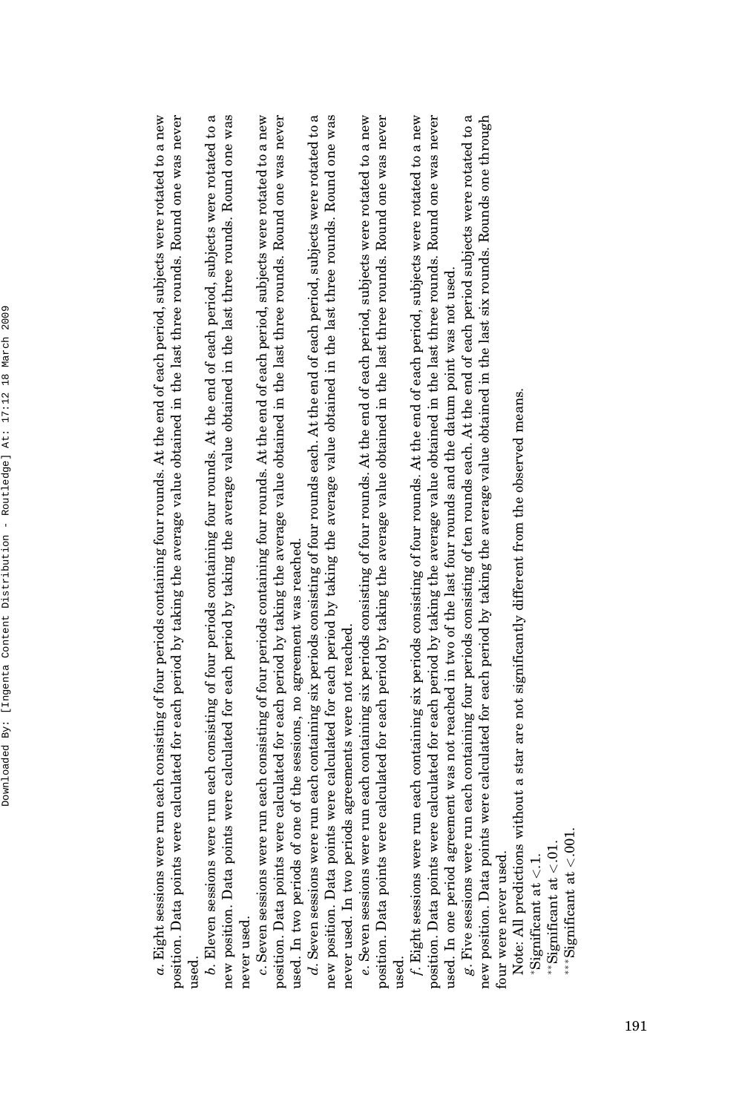a. Eight sessions were run each consisting of four periods containing four rounds. At the end of each period, subjects were rotated to a new oosition. Data points were calculated for each period by taking the average value obtained in the last three rounds. Round one was never a. Eight sessions were run each consisting of four periods containing four rounds. At the end of each period, subjects were rotated to a new position. Data points were calculated for each period by taking the average value obtained in the last three rounds. Round one was never used. b. Eleven sessions were run each consisting of four periods containing four rounds. At the end of each period, subjects were rotated to a new position. Data points were calculated for each period by taking the average value obtained in the last three rounds. Round one was b. Eleven sessions were run each consisting of four periods containing four rounds. At the end of each period, subjects were rotated to a new position. Data points were calculated for each period by taking the average value obtained in the last three rounds. Round one was never used. never used.

c. Seven sessions were run each consisting of four periods containing four rounds. At the end of each period, subjects were rotated to a new position. Data points were calculated for each period by taking the average value obtained in the last three rounds. Round one was never c. Seven sessions were run each consisting of four periods containing four rounds. At the end of each period, subjects were rotated to a new position. Data points were calculated for each period by taking the average value obtained in the last three rounds. Round one was never used. In two periods of one of the sessions, no agreement was reached. used. In two periods of one of the sessions, no agreement was reached.

d. Seven sessions were run each containing six periods consisting of four rounds each. At the end of each period, subjects were rotated to a new position. Data points were calculated for each period by taking the average value obtained in the last three rounds. Round one was d. Seven sessions were run each containing six periods consisting of four rounds each. At the end of each period, subjects were rotated to a new position. Data points were calculated for each period by taking the average value obtained in the last three rounds. Round one was never used. In two periods agreements were not reached. never used. In two periods agreements were not reached.

e. Seven sessions were run each containing six periods consisting of four rounds. At the end of each period, subjects were rotated to a new e. Seven sessions were run each containing six periods consisting of four rounds. At the end of each period, subjects were rotated to a new oosition. Data points were calculated for each period by taking the average value obtained in the last three rounds. Round one was never position. Data points were calculated for each period by taking the average value obtained in the last three rounds. Round one was never used.

position. Data points were calculated for each period by taking the average value obtained in the last three rounds. Round one was never f. Eight sessions were run each containing six periods consisting of four rounds. At the end of each period, subjects were rotated to a new f. Eight sessions were run each containing six periods consisting of four rounds. At the end of each period, subjects were rotated to a new position. Data points were calculated for each period by taking the average value obtained in the last three rounds. Round one was never used. In one period agreement was not reached in two of the last four rounds and the datum point was not used used. In one period agreement was not reached in two of the last four rounds and the datum point was not used.  $g$ . Five sessions were run each containing four periods consisting of ten rounds each. At the end of each period subjects were rotated to a new position. Data points were calculated for each period by taking the average value obtained in the last six rounds. Rounds one through g. Five sessions were run each containing four periods consisting of ten rounds each. At the end of each period subjects were rotated to a new position. Data points were calculated for each period by taking the average value obtained in the last six rounds. Rounds one through four were never used. four were never used.

Note: All predictions without a star are not significantly different from the observed means. Note: All predictions without a star are not significantly different from the observed means.

Significant at  $\langle .1$ .  $\gamma$ Significant at  $< 1$ .

 $**$ Significant at  $< 01$ .  $\cdot$  Significant at  $< 01$ 

 $48$ Significant at  $< .001$  $\cdot$ \*\*Significant at  $< 001$ .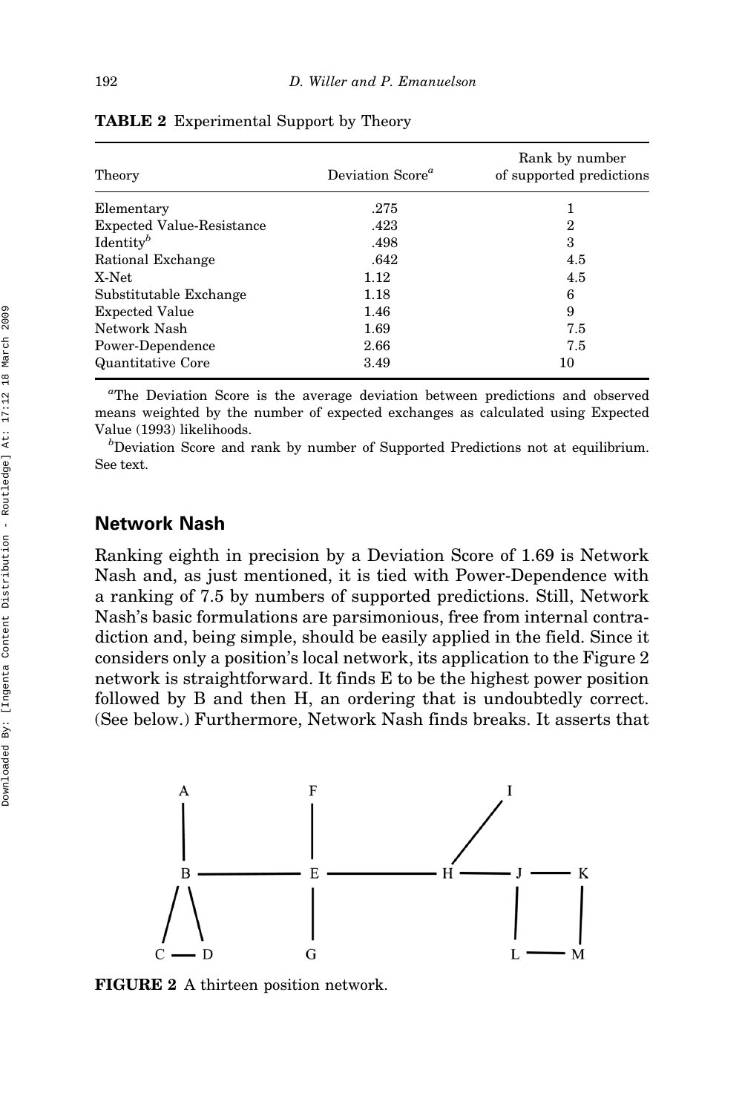| Theory                           | Deviation Score <sup><i>a</i></sup> | Rank by number<br>of supported predictions |
|----------------------------------|-------------------------------------|--------------------------------------------|
| Elementary                       | .275                                |                                            |
| <b>Expected Value-Resistance</b> | .423                                | 2                                          |
| Identity <sup>b</sup>            | .498                                | 3                                          |
| Rational Exchange                | .642                                | 4.5                                        |
| X-Net                            | 1.12                                | 4.5                                        |
| Substitutable Exchange           | 1.18                                | 6                                          |
| <b>Expected Value</b>            | 1.46                                | 9                                          |
| Network Nash                     | 1.69                                | 7.5                                        |
| Power-Dependence                 | 2.66                                | 7.5                                        |
| Quantitative Core                | 3.49                                | 10                                         |

TABLE 2 Experimental Support by Theory

a The Deviation Score is the average deviation between predictions and observed means weighted by the number of expected exchanges as calculated using Expected Value (1993) likelihoods. <sup>b</sup>

Deviation Score and rank by number of Supported Predictions not at equilibrium. See text.

## Network Nash

Ranking eighth in precision by a Deviation Score of 1.69 is Network Nash and, as just mentioned, it is tied with Power-Dependence with a ranking of 7.5 by numbers of supported predictions. Still, Network Nash's basic formulations are parsimonious, free from internal contradiction and, being simple, should be easily applied in the field. Since it considers only a position's local network, its application to the Figure 2 network is straightforward. It finds E to be the highest power position followed by B and then H, an ordering that is undoubtedly correct. (See below.) Furthermore, Network Nash finds breaks. It asserts that



FIGURE 2 A thirteen position network.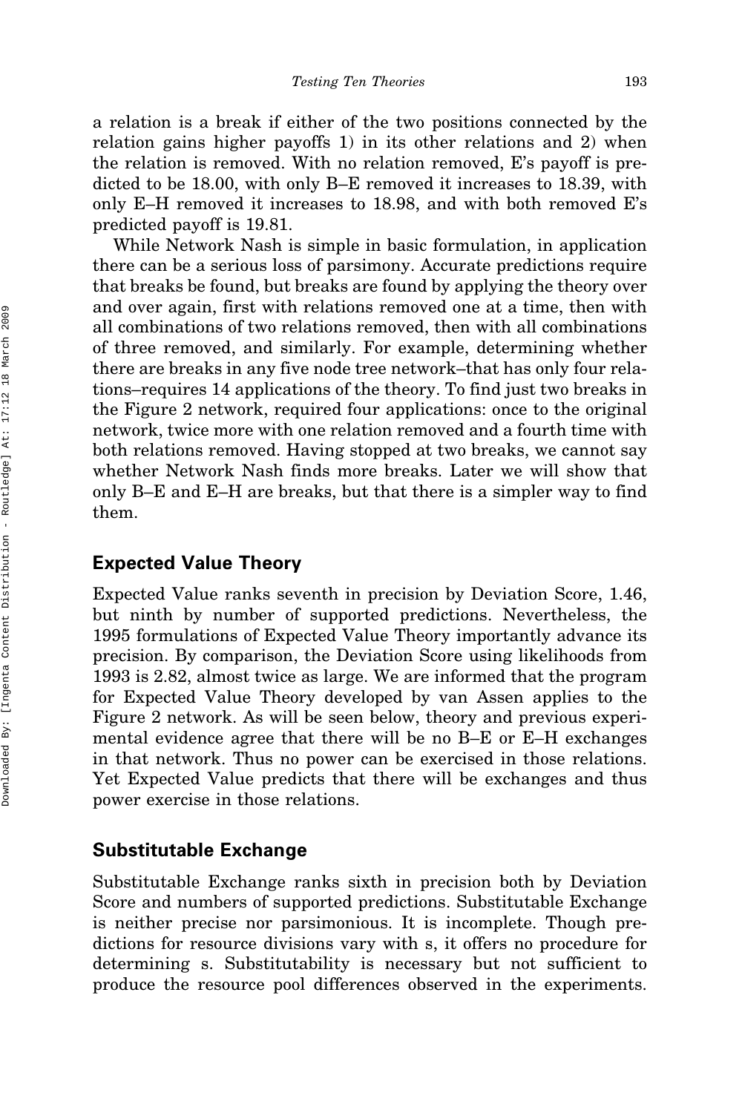a relation is a break if either of the two positions connected by the relation gains higher payoffs 1) in its other relations and 2) when the relation is removed. With no relation removed, E's payoff is predicted to be 18.00, with only B–E removed it increases to 18.39, with only E–H removed it increases to 18.98, and with both removed E's predicted payoff is 19.81.

While Network Nash is simple in basic formulation, in application there can be a serious loss of parsimony. Accurate predictions require that breaks be found, but breaks are found by applying the theory over and over again, first with relations removed one at a time, then with all combinations of two relations removed, then with all combinations of three removed, and similarly. For example, determining whether there are breaks in any five node tree network–that has only four relations–requires 14 applications of the theory. To find just two breaks in the Figure 2 network, required four applications: once to the original network, twice more with one relation removed and a fourth time with both relations removed. Having stopped at two breaks, we cannot say whether Network Nash finds more breaks. Later we will show that only B–E and E–H are breaks, but that there is a simpler way to find them.

# Expected Value Theory

Expected Value ranks seventh in precision by Deviation Score, 1.46, but ninth by number of supported predictions. Nevertheless, the 1995 formulations of Expected Value Theory importantly advance its precision. By comparison, the Deviation Score using likelihoods from 1993 is 2.82, almost twice as large. We are informed that the program for Expected Value Theory developed by van Assen applies to the Figure 2 network. As will be seen below, theory and previous experimental evidence agree that there will be no B–E or E–H exchanges in that network. Thus no power can be exercised in those relations. Yet Expected Value predicts that there will be exchanges and thus power exercise in those relations.

#### Substitutable Exchange

Substitutable Exchange ranks sixth in precision both by Deviation Score and numbers of supported predictions. Substitutable Exchange is neither precise nor parsimonious. It is incomplete. Though predictions for resource divisions vary with s, it offers no procedure for determining s. Substitutability is necessary but not sufficient to produce the resource pool differences observed in the experiments.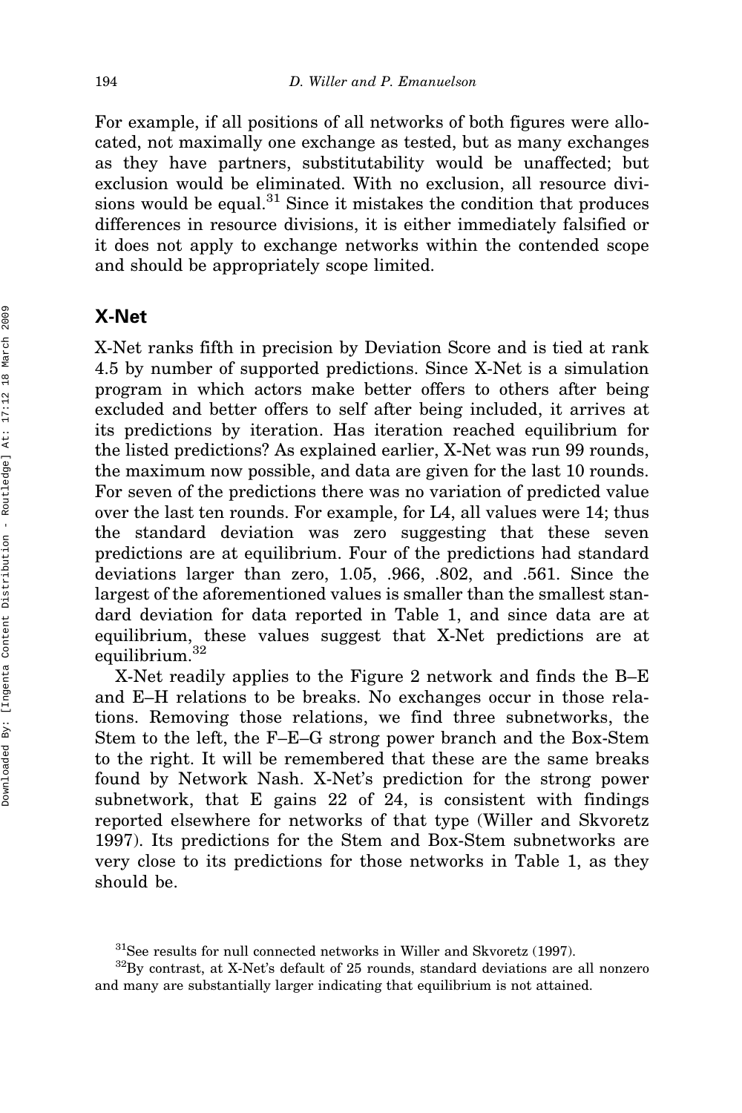For example, if all positions of all networks of both figures were allocated, not maximally one exchange as tested, but as many exchanges as they have partners, substitutability would be unaffected; but exclusion would be eliminated. With no exclusion, all resource divisions would be equal.<sup>31</sup> Since it mistakes the condition that produces differences in resource divisions, it is either immediately falsified or it does not apply to exchange networks within the contended scope and should be appropriately scope limited.

## X-Net

X-Net ranks fifth in precision by Deviation Score and is tied at rank 4.5 by number of supported predictions. Since X-Net is a simulation program in which actors make better offers to others after being excluded and better offers to self after being included, it arrives at its predictions by iteration. Has iteration reached equilibrium for the listed predictions? As explained earlier, X-Net was run 99 rounds, the maximum now possible, and data are given for the last 10 rounds. For seven of the predictions there was no variation of predicted value over the last ten rounds. For example, for L4, all values were 14; thus the standard deviation was zero suggesting that these seven predictions are at equilibrium. Four of the predictions had standard deviations larger than zero, 1.05, .966, .802, and .561. Since the largest of the aforementioned values is smaller than the smallest standard deviation for data reported in Table 1, and since data are at equilibrium, these values suggest that X-Net predictions are at equilibrium.<sup>32</sup>

X-Net readily applies to the Figure 2 network and finds the B–E and E–H relations to be breaks. No exchanges occur in those relations. Removing those relations, we find three subnetworks, the Stem to the left, the F–E–G strong power branch and the Box-Stem to the right. It will be remembered that these are the same breaks found by Network Nash. X-Net's prediction for the strong power subnetwork, that E gains 22 of 24, is consistent with findings reported elsewhere for networks of that type (Willer and Skvoretz 1997). Its predictions for the Stem and Box-Stem subnetworks are very close to its predictions for those networks in Table 1, as they should be.

<sup>&</sup>lt;sup>31</sup>See results for null connected networks in Willer and Skvoretz (1997).<br><sup>32</sup>By contrast, at X-Net's default of 25 rounds, standard deviations are all nonzero and many are substantially larger indicating that equilibrium is not attained.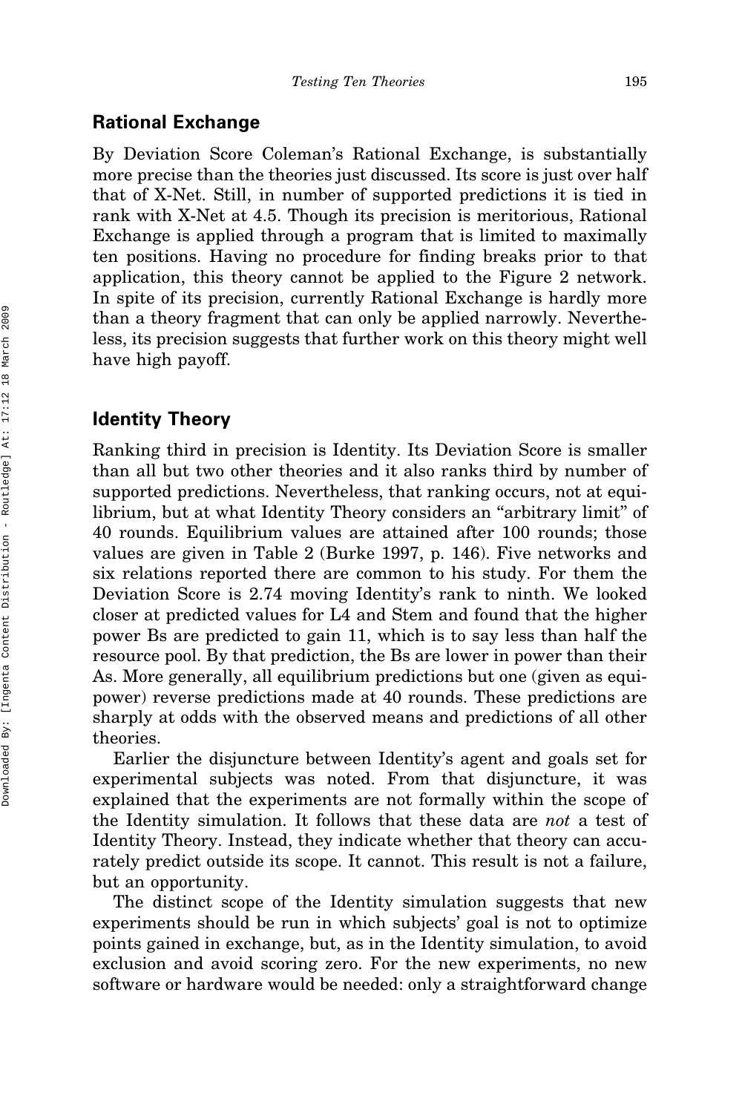#### Rational Exchange

By Deviation Score Coleman's Rational Exchange, is substantially more precise than the theories just discussed. Its score is just over half that of X-Net. Still, in number of supported predictions it is tied in rank with X-Net at 4.5. Though its precision is meritorious, Rational Exchange is applied through a program that is limited to maximally ten positions. Having no procedure for finding breaks prior to that application, this theory cannot be applied to the Figure 2 network. In spite of its precision, currently Rational Exchange is hardly more than a theory fragment that can only be applied narrowly. Nevertheless, its precision suggests that further work on this theory might well have high payoff.

#### Identity Theory

Ranking third in precision is Identity. Its Deviation Score is smaller than all but two other theories and it also ranks third by number of supported predictions. Nevertheless, that ranking occurs, not at equilibrium, but at what Identity Theory considers an "arbitrary limit" of 40 rounds. Equilibrium values are attained after 100 rounds; those values are given in Table 2 (Burke 1997, p. 146). Five networks and six relations reported there are common to his study. For them the Deviation Score is 2.74 moving Identity's rank to ninth. We looked closer at predicted values for L4 and Stem and found that the higher power Bs are predicted to gain 11, which is to say less than half the resource pool. By that prediction, the Bs are lower in power than their As. More generally, all equilibrium predictions but one (given as equipower) reverse predictions made at 40 rounds. These predictions are sharply at odds with the observed means and predictions of all other theories.

Earlier the disjuncture between Identity's agent and goals set for experimental subjects was noted. From that disjuncture, it was explained that the experiments are not formally within the scope of the Identity simulation. It follows that these data are not a test of Identity Theory. Instead, they indicate whether that theory can accurately predict outside its scope. It cannot. This result is not a failure, but an opportunity.

The distinct scope of the Identity simulation suggests that new experiments should be run in which subjects' goal is not to optimize points gained in exchange, but, as in the Identity simulation, to avoid exclusion and avoid scoring zero. For the new experiments, no new software or hardware would be needed: only a straightforward change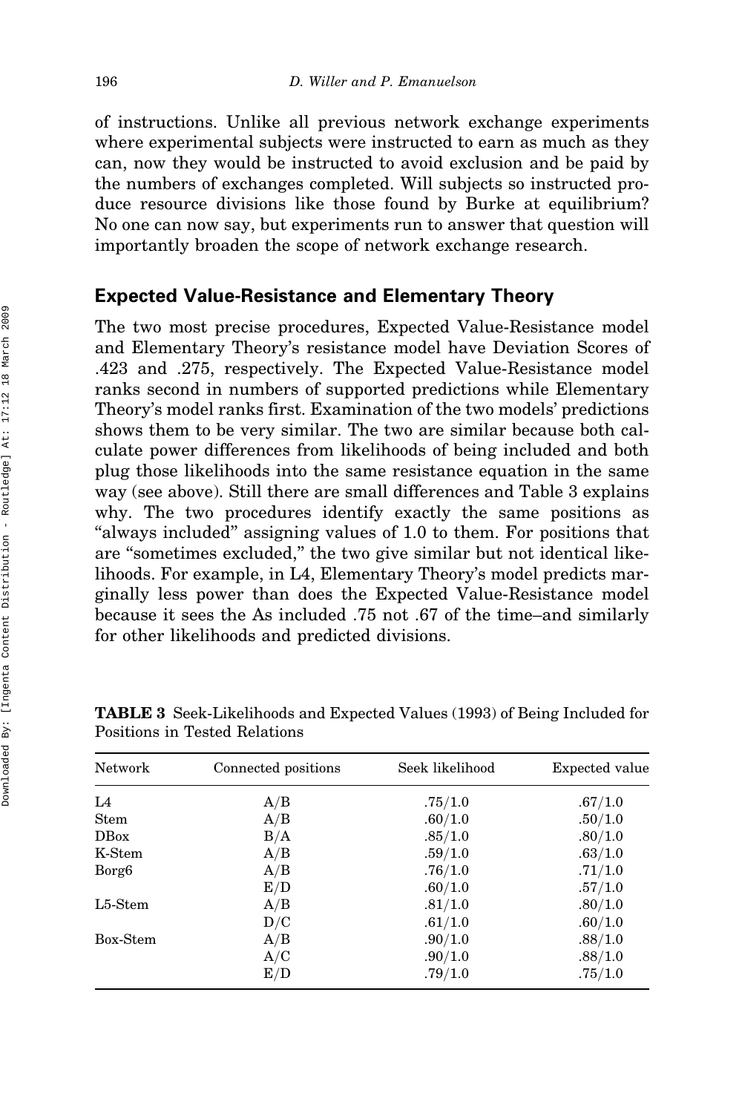of instructions. Unlike all previous network exchange experiments where experimental subjects were instructed to earn as much as they can, now they would be instructed to avoid exclusion and be paid by the numbers of exchanges completed. Will subjects so instructed produce resource divisions like those found by Burke at equilibrium? No one can now say, but experiments run to answer that question will importantly broaden the scope of network exchange research.

# Expected Value-Resistance and Elementary Theory

The two most precise procedures, Expected Value-Resistance model and Elementary Theory's resistance model have Deviation Scores of .423 and .275, respectively. The Expected Value-Resistance model ranks second in numbers of supported predictions while Elementary Theory's model ranks first. Examination of the two models' predictions shows them to be very similar. The two are similar because both calculate power differences from likelihoods of being included and both plug those likelihoods into the same resistance equation in the same way (see above). Still there are small differences and Table 3 explains why. The two procedures identify exactly the same positions as "always included" assigning values of 1.0 to them. For positions that are ''sometimes excluded,'' the two give similar but not identical likelihoods. For example, in L4, Elementary Theory's model predicts marginally less power than does the Expected Value-Resistance model because it sees the As included .75 not .67 of the time–and similarly for other likelihoods and predicted divisions.

| Network  | Connected positions | Seek likelihood | Expected value |
|----------|---------------------|-----------------|----------------|
| L4       | A/B                 | .75/1.0         | .67/1.0        |
| Stem     | A/B                 | .60/1.0         | .50/1.0        |
| DBox     | B/A                 | .85/1.0         | .80/1.0        |
| K-Stem   | A/B                 | .59/1.0         | .63/1.0        |
| Borg6    | A/B                 | .76/1.0         | .71/1.0        |
|          | E/D                 | .60/1.0         | .57/1.0        |
| L5-Stem  | A/B                 | .81/1.0         | .80/1.0        |
|          | D/C                 | .61/1.0         | .60/1.0        |
| Box-Stem | A/B                 | .90/1.0         | .88/1.0        |
|          | A/C                 | .90/1.0         | .88/1.0        |
|          | E/D                 | .79/1.0         | .75/1.0        |

TABLE 3 Seek-Likelihoods and Expected Values (1993) of Being Included for Positions in Tested Relations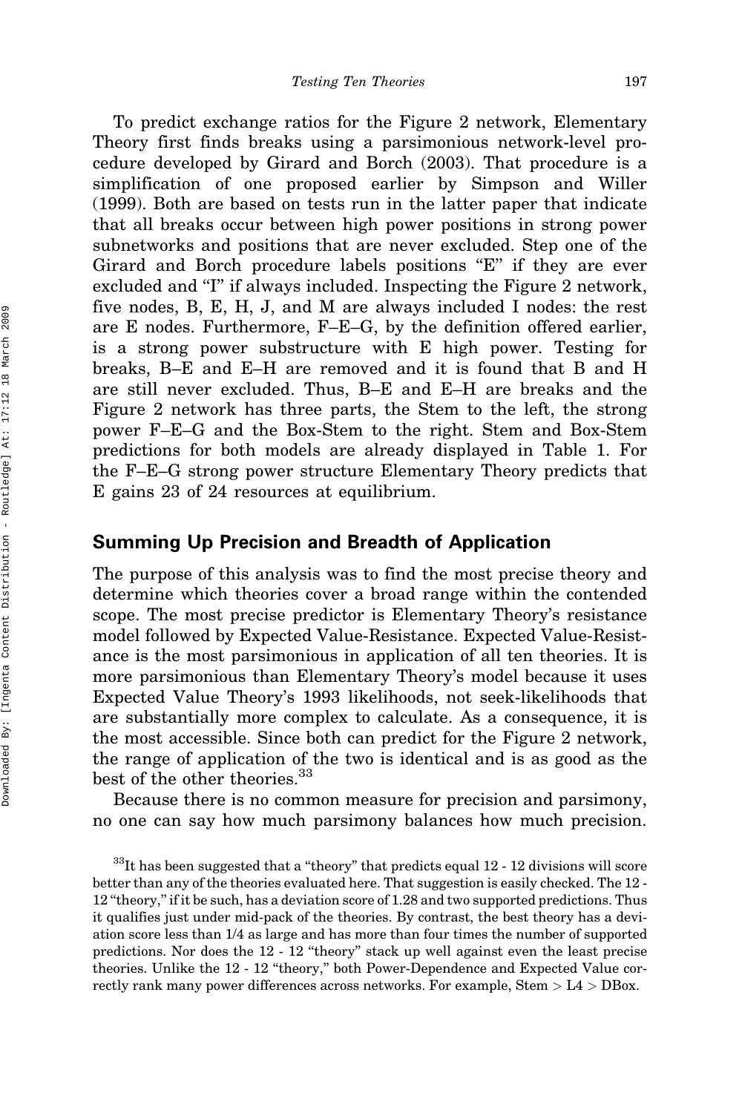To predict exchange ratios for the Figure 2 network, Elementary Theory first finds breaks using a parsimonious network-level procedure developed by Girard and Borch (2003). That procedure is a simplification of one proposed earlier by Simpson and Willer (1999). Both are based on tests run in the latter paper that indicate that all breaks occur between high power positions in strong power subnetworks and positions that are never excluded. Step one of the Girard and Borch procedure labels positions "E" if they are ever excluded and "I" if always included. Inspecting the Figure 2 network, five nodes, B, E, H, J, and M are always included I nodes: the rest are E nodes. Furthermore, F–E–G, by the definition offered earlier, is a strong power substructure with E high power. Testing for breaks, B–E and E–H are removed and it is found that B and H are still never excluded. Thus, B–E and E–H are breaks and the Figure 2 network has three parts, the Stem to the left, the strong power F–E–G and the Box-Stem to the right. Stem and Box-Stem predictions for both models are already displayed in Table 1. For the F–E–G strong power structure Elementary Theory predicts that E gains 23 of 24 resources at equilibrium.

#### Summing Up Precision and Breadth of Application

The purpose of this analysis was to find the most precise theory and determine which theories cover a broad range within the contended scope. The most precise predictor is Elementary Theory's resistance model followed by Expected Value-Resistance. Expected Value-Resistance is the most parsimonious in application of all ten theories. It is more parsimonious than Elementary Theory's model because it uses Expected Value Theory's 1993 likelihoods, not seek-likelihoods that are substantially more complex to calculate. As a consequence, it is the most accessible. Since both can predict for the Figure 2 network, the range of application of the two is identical and is as good as the best of the other theories.<sup>33</sup>

Because there is no common measure for precision and parsimony, no one can say how much parsimony balances how much precision.

 $33$ It has been suggested that a "theory" that predicts equal  $12$  -  $12$  divisions will score better than any of the theories evaluated here. That suggestion is easily checked. The 12 - 12 ''theory,'' if it be such, has a deviation score of 1.28 and two supported predictions. Thus it qualifies just under mid-pack of the theories. By contrast, the best theory has a deviation score less than 1/4 as large and has more than four times the number of supported predictions. Nor does the 12 - 12 ''theory'' stack up well against even the least precise theories. Unlike the 12 - 12 ''theory,'' both Power-Dependence and Expected Value correctly rank many power differences across networks. For example,  $Stem > L4 > DBox$ .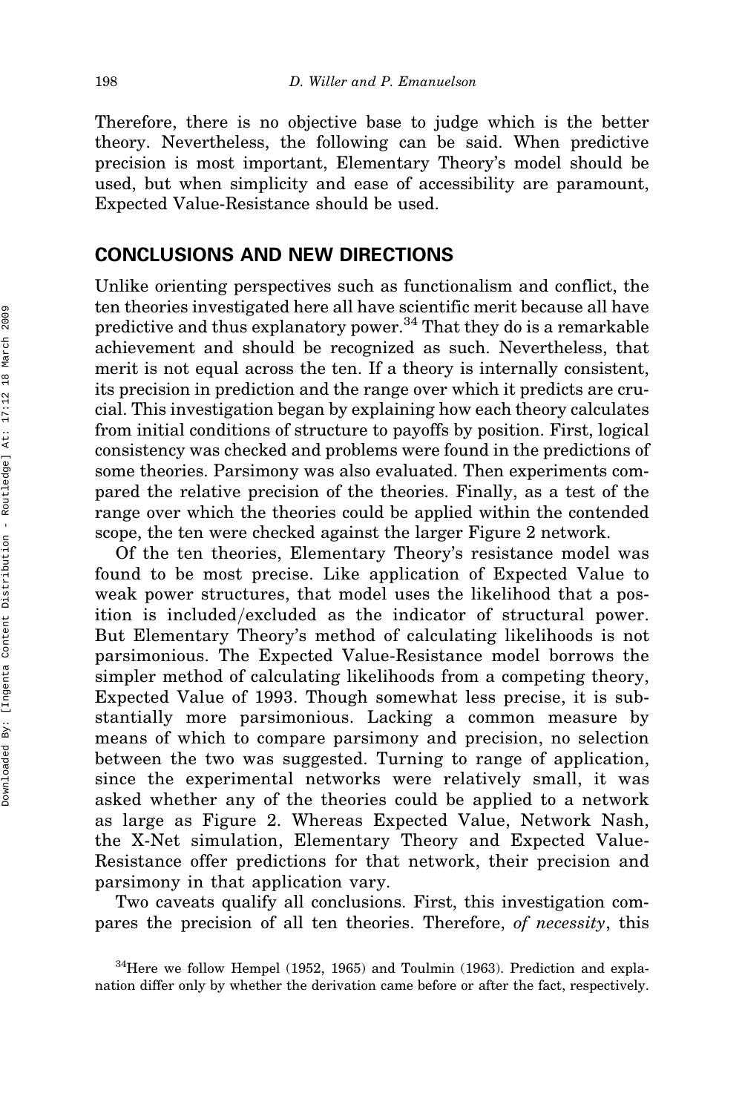Therefore, there is no objective base to judge which is the better theory. Nevertheless, the following can be said. When predictive precision is most important, Elementary Theory's model should be used, but when simplicity and ease of accessibility are paramount, Expected Value-Resistance should be used.

## CONCLUSIONS AND NEW DIRECTIONS

Unlike orienting perspectives such as functionalism and conflict, the ten theories investigated here all have scientific merit because all have predictive and thus explanatory power.<sup>34</sup> That they do is a remarkable achievement and should be recognized as such. Nevertheless, that merit is not equal across the ten. If a theory is internally consistent, its precision in prediction and the range over which it predicts are crucial. This investigation began by explaining how each theory calculates from initial conditions of structure to payoffs by position. First, logical consistency was checked and problems were found in the predictions of some theories. Parsimony was also evaluated. Then experiments compared the relative precision of the theories. Finally, as a test of the range over which the theories could be applied within the contended scope, the ten were checked against the larger Figure 2 network.

Of the ten theories, Elementary Theory's resistance model was found to be most precise. Like application of Expected Value to weak power structures, that model uses the likelihood that a position is included/excluded as the indicator of structural power. But Elementary Theory's method of calculating likelihoods is not parsimonious. The Expected Value-Resistance model borrows the simpler method of calculating likelihoods from a competing theory, Expected Value of 1993. Though somewhat less precise, it is substantially more parsimonious. Lacking a common measure by means of which to compare parsimony and precision, no selection between the two was suggested. Turning to range of application, since the experimental networks were relatively small, it was asked whether any of the theories could be applied to a network as large as Figure 2. Whereas Expected Value, Network Nash, the X-Net simulation, Elementary Theory and Expected Value-Resistance offer predictions for that network, their precision and parsimony in that application vary.

Two caveats qualify all conclusions. First, this investigation compares the precision of all ten theories. Therefore, of necessity, this

<sup>&</sup>lt;sup>34</sup>Here we follow Hempel (1952, 1965) and Toulmin (1963). Prediction and explanation differ only by whether the derivation came before or after the fact, respectively.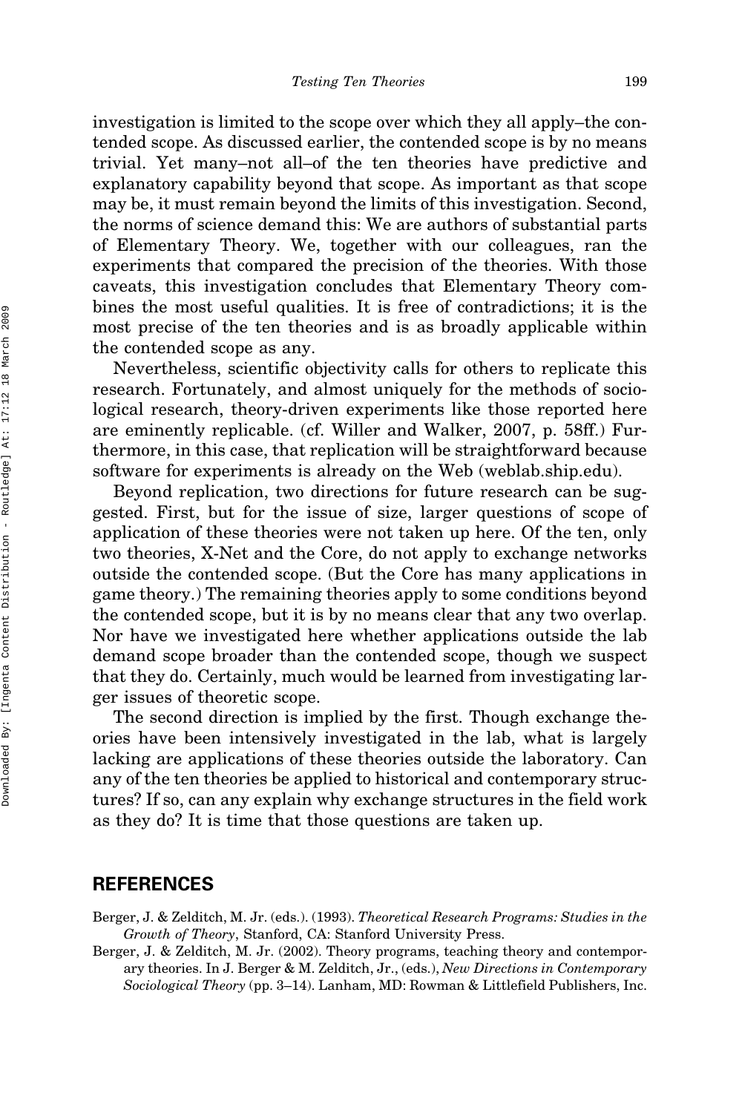investigation is limited to the scope over which they all apply–the contended scope. As discussed earlier, the contended scope is by no means trivial. Yet many–not all–of the ten theories have predictive and explanatory capability beyond that scope. As important as that scope may be, it must remain beyond the limits of this investigation. Second, the norms of science demand this: We are authors of substantial parts of Elementary Theory. We, together with our colleagues, ran the experiments that compared the precision of the theories. With those caveats, this investigation concludes that Elementary Theory combines the most useful qualities. It is free of contradictions; it is the most precise of the ten theories and is as broadly applicable within the contended scope as any.

Nevertheless, scientific objectivity calls for others to replicate this research. Fortunately, and almost uniquely for the methods of sociological research, theory-driven experiments like those reported here are eminently replicable. (cf. Willer and Walker, 2007, p. 58ff.) Furthermore, in this case, that replication will be straightforward because software for experiments is already on the Web (weblab.ship.edu).

Beyond replication, two directions for future research can be suggested. First, but for the issue of size, larger questions of scope of application of these theories were not taken up here. Of the ten, only two theories, X-Net and the Core, do not apply to exchange networks outside the contended scope. (But the Core has many applications in game theory.) The remaining theories apply to some conditions beyond the contended scope, but it is by no means clear that any two overlap. Nor have we investigated here whether applications outside the lab demand scope broader than the contended scope, though we suspect that they do. Certainly, much would be learned from investigating larger issues of theoretic scope.

The second direction is implied by the first. Though exchange theories have been intensively investigated in the lab, what is largely lacking are applications of these theories outside the laboratory. Can any of the ten theories be applied to historical and contemporary structures? If so, can any explain why exchange structures in the field work as they do? It is time that those questions are taken up.

#### REFERENCES

- Berger, J. & Zelditch, M. Jr. (eds.). (1993). Theoretical Research Programs: Studies in the Growth of Theory, Stanford, CA: Stanford University Press.
- Berger, J. & Zelditch, M. Jr. (2002). Theory programs, teaching theory and contemporary theories. In J. Berger & M. Zelditch, Jr., (eds.), New Directions in Contemporary Sociological Theory (pp. 3–14). Lanham, MD: Rowman & Littlefield Publishers, Inc.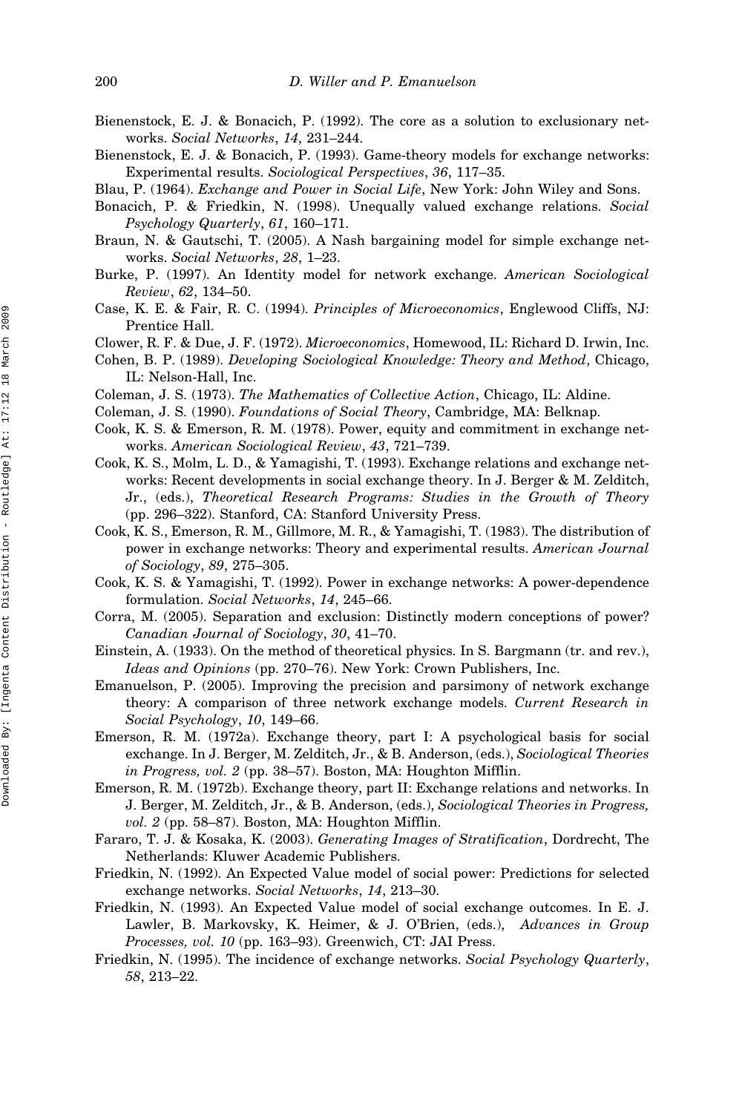- Bienenstock, E. J. & Bonacich, P. (1992). The core as a solution to exclusionary networks. Social Networks, 14, 231–244.
- Bienenstock, E. J. & Bonacich, P. (1993). Game-theory models for exchange networks: Experimental results. Sociological Perspectives, 36, 117–35.
- Blau, P. (1964). Exchange and Power in Social Life, New York: John Wiley and Sons.
- Bonacich, P. & Friedkin, N. (1998). Unequally valued exchange relations. Social Psychology Quarterly, 61, 160–171.
- Braun, N. & Gautschi, T. (2005). A Nash bargaining model for simple exchange networks. Social Networks, 28, 1–23.
- Burke, P. (1997). An Identity model for network exchange. American Sociological Review, 62, 134–50.
- Case, K. E. & Fair, R. C. (1994). Principles of Microeconomics, Englewood Cliffs, NJ: Prentice Hall.
- Clower, R. F. & Due, J. F. (1972). Microeconomics, Homewood, IL: Richard D. Irwin, Inc.
- Cohen, B. P. (1989). Developing Sociological Knowledge: Theory and Method, Chicago, IL: Nelson-Hall, Inc.
- Coleman, J. S. (1973). The Mathematics of Collective Action, Chicago, IL: Aldine.
- Coleman, J. S. (1990). Foundations of Social Theory, Cambridge, MA: Belknap.
- Cook, K. S. & Emerson, R. M. (1978). Power, equity and commitment in exchange networks. American Sociological Review, 43, 721–739.
- Cook, K. S., Molm, L. D., & Yamagishi, T. (1993). Exchange relations and exchange networks: Recent developments in social exchange theory. In J. Berger & M. Zelditch, Jr., (eds.), Theoretical Research Programs: Studies in the Growth of Theory (pp. 296–322). Stanford, CA: Stanford University Press.
- Cook, K. S., Emerson, R. M., Gillmore, M. R., & Yamagishi, T. (1983). The distribution of power in exchange networks: Theory and experimental results. American Journal of Sociology, 89, 275–305.
- Cook, K. S. & Yamagishi, T. (1992). Power in exchange networks: A power-dependence formulation. Social Networks, 14, 245–66.
- Corra, M. (2005). Separation and exclusion: Distinctly modern conceptions of power? Canadian Journal of Sociology, 30, 41–70.
- Einstein, A. (1933). On the method of theoretical physics. In S. Bargmann (tr. and rev.), Ideas and Opinions (pp. 270–76). New York: Crown Publishers, Inc.
- Emanuelson, P. (2005). Improving the precision and parsimony of network exchange theory: A comparison of three network exchange models. Current Research in Social Psychology, 10, 149–66.
- Emerson, R. M. (1972a). Exchange theory, part I: A psychological basis for social exchange. In J. Berger, M. Zelditch, Jr., & B. Anderson, (eds.), Sociological Theories in Progress, vol. 2 (pp. 38–57). Boston, MA: Houghton Mifflin.
- Emerson, R. M. (1972b). Exchange theory, part II: Exchange relations and networks. In J. Berger, M. Zelditch, Jr., & B. Anderson, (eds.), Sociological Theories in Progress, vol. 2 (pp. 58–87). Boston, MA: Houghton Mifflin.
- Fararo, T. J. & Kosaka, K. (2003). Generating Images of Stratification, Dordrecht, The Netherlands: Kluwer Academic Publishers.
- Friedkin, N. (1992). An Expected Value model of social power: Predictions for selected exchange networks. Social Networks, 14, 213–30.
- Friedkin, N. (1993). An Expected Value model of social exchange outcomes. In E. J. Lawler, B. Markovsky, K. Heimer, & J. O'Brien, (eds.), Advances in Group Processes, vol. 10 (pp. 163–93). Greenwich, CT: JAI Press.
- Friedkin, N. (1995). The incidence of exchange networks. Social Psychology Quarterly, 58, 213–22.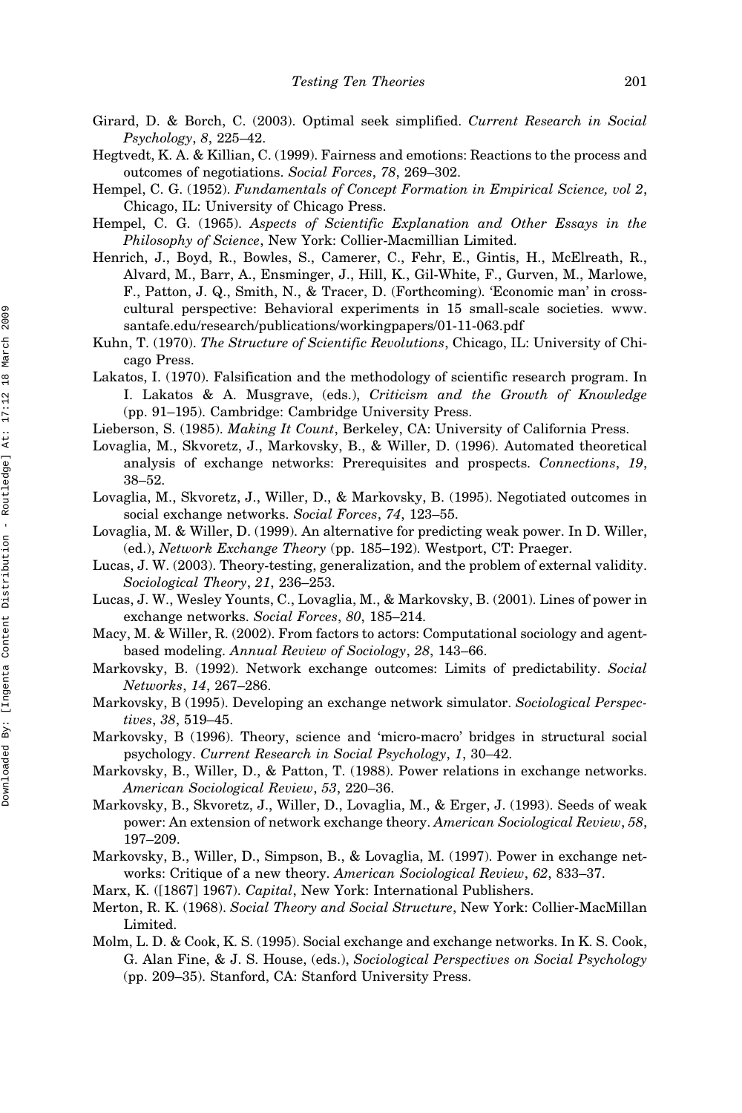- Girard, D. & Borch, C. (2003). Optimal seek simplified. Current Research in Social Psychology, 8, 225–42.
- Hegtvedt, K. A. & Killian, C. (1999). Fairness and emotions: Reactions to the process and outcomes of negotiations. Social Forces, 78, 269–302.
- Hempel, C. G. (1952). Fundamentals of Concept Formation in Empirical Science, vol 2, Chicago, IL: University of Chicago Press.
- Hempel, C. G. (1965). Aspects of Scientific Explanation and Other Essays in the Philosophy of Science, New York: Collier-Macmillian Limited.
- Henrich, J., Boyd, R., Bowles, S., Camerer, C., Fehr, E., Gintis, H., McElreath, R., Alvard, M., Barr, A., Ensminger, J., Hill, K., Gil-White, F., Gurven, M., Marlowe, F., Patton, J. Q., Smith, N., & Tracer, D. (Forthcoming). 'Economic man' in crosscultural perspective: Behavioral experiments in 15 small-scale societies. www. santafe.edu/research/publications/workingpapers/01-11-063.pdf
- Kuhn, T. (1970). The Structure of Scientific Revolutions, Chicago, IL: University of Chicago Press.
- Lakatos, I. (1970). Falsification and the methodology of scientific research program. In I. Lakatos & A. Musgrave, (eds.), Criticism and the Growth of Knowledge (pp. 91–195). Cambridge: Cambridge University Press.
- Lieberson, S. (1985). Making It Count, Berkeley, CA: University of California Press.
- Lovaglia, M., Skvoretz, J., Markovsky, B., & Willer, D. (1996). Automated theoretical analysis of exchange networks: Prerequisites and prospects. Connections, 19, 38–52.
- Lovaglia, M., Skvoretz, J., Willer, D., & Markovsky, B. (1995). Negotiated outcomes in social exchange networks. Social Forces, 74, 123-55.
- Lovaglia, M. & Willer, D. (1999). An alternative for predicting weak power. In D. Willer, (ed.), Network Exchange Theory (pp. 185–192). Westport, CT: Praeger.
- Lucas, J. W. (2003). Theory-testing, generalization, and the problem of external validity. Sociological Theory, 21, 236–253.
- Lucas, J. W., Wesley Younts, C., Lovaglia, M., & Markovsky, B. (2001). Lines of power in exchange networks. Social Forces, 80, 185–214.
- Macy, M. & Willer, R. (2002). From factors to actors: Computational sociology and agentbased modeling. Annual Review of Sociology, 28, 143–66.
- Markovsky, B. (1992). Network exchange outcomes: Limits of predictability. Social Networks, 14, 267–286.
- Markovsky, B (1995). Developing an exchange network simulator. Sociological Perspectives, 38, 519–45.
- Markovsky, B (1996). Theory, science and 'micro-macro' bridges in structural social psychology. Current Research in Social Psychology, 1, 30–42.
- Markovsky, B., Willer, D., & Patton, T. (1988). Power relations in exchange networks. American Sociological Review, 53, 220–36.
- Markovsky, B., Skvoretz, J., Willer, D., Lovaglia, M., & Erger, J. (1993). Seeds of weak power: An extension of network exchange theory. American Sociological Review, 58, 197–209.
- Markovsky, B., Willer, D., Simpson, B., & Lovaglia, M. (1997). Power in exchange networks: Critique of a new theory. American Sociological Review, 62, 833–37.
- Marx, K. ([1867] 1967). Capital, New York: International Publishers.
- Merton, R. K. (1968). Social Theory and Social Structure, New York: Collier-MacMillan Limited.
- Molm, L. D. & Cook, K. S. (1995). Social exchange and exchange networks. In K. S. Cook, G. Alan Fine, & J. S. House, (eds.), Sociological Perspectives on Social Psychology (pp. 209–35). Stanford, CA: Stanford University Press.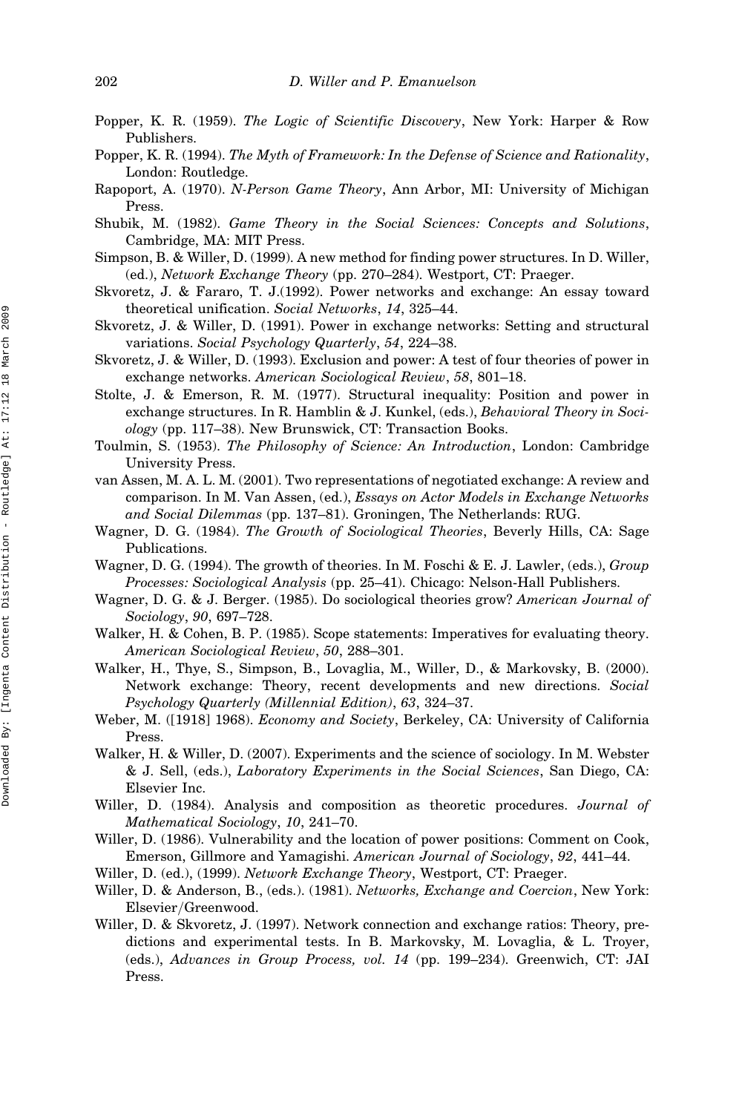- Popper, K. R. (1959). The Logic of Scientific Discovery, New York: Harper & Row Publishers.
- Popper, K. R. (1994). The Myth of Framework: In the Defense of Science and Rationality, London: Routledge.
- Rapoport, A. (1970). N-Person Game Theory, Ann Arbor, MI: University of Michigan Press.
- Shubik, M. (1982). Game Theory in the Social Sciences: Concepts and Solutions, Cambridge, MA: MIT Press.
- Simpson, B. & Willer, D. (1999). A new method for finding power structures. In D. Willer, (ed.), Network Exchange Theory (pp. 270–284). Westport, CT: Praeger.
- Skvoretz, J. & Fararo, T. J.(1992). Power networks and exchange: An essay toward theoretical unification. Social Networks, 14, 325–44.
- Skvoretz, J. & Willer, D. (1991). Power in exchange networks: Setting and structural variations. Social Psychology Quarterly, 54, 224–38.
- Skvoretz, J. & Willer, D. (1993). Exclusion and power: A test of four theories of power in exchange networks. American Sociological Review, 58, 801–18.
- Stolte, J. & Emerson, R. M. (1977). Structural inequality: Position and power in exchange structures. In R. Hamblin & J. Kunkel, (eds.), Behavioral Theory in Sociology (pp. 117–38). New Brunswick, CT: Transaction Books.
- Toulmin, S. (1953). The Philosophy of Science: An Introduction, London: Cambridge University Press.
- van Assen, M. A. L. M. (2001). Two representations of negotiated exchange: A review and comparison. In M. Van Assen, (ed.), Essays on Actor Models in Exchange Networks and Social Dilemmas (pp. 137–81). Groningen, The Netherlands: RUG.
- Wagner, D. G. (1984). The Growth of Sociological Theories, Beverly Hills, CA: Sage Publications.
- Wagner, D. G. (1994). The growth of theories. In M. Foschi & E. J. Lawler, (eds.), *Group* Processes: Sociological Analysis (pp. 25–41). Chicago: Nelson-Hall Publishers.
- Wagner, D. G. & J. Berger. (1985). Do sociological theories grow? American Journal of Sociology, 90, 697–728.
- Walker, H. & Cohen, B. P. (1985). Scope statements: Imperatives for evaluating theory. American Sociological Review, 50, 288–301.
- Walker, H., Thye, S., Simpson, B., Lovaglia, M., Willer, D., & Markovsky, B. (2000). Network exchange: Theory, recent developments and new directions. Social Psychology Quarterly (Millennial Edition), 63, 324–37.
- Weber, M. ([1918] 1968). Economy and Society, Berkeley, CA: University of California Press.
- Walker, H. & Willer, D. (2007). Experiments and the science of sociology. In M. Webster & J. Sell, (eds.), Laboratory Experiments in the Social Sciences, San Diego, CA: Elsevier Inc.
- Willer, D. (1984). Analysis and composition as theoretic procedures. Journal of Mathematical Sociology, 10, 241–70.

Willer, D. (1986). Vulnerability and the location of power positions: Comment on Cook, Emerson, Gillmore and Yamagishi. American Journal of Sociology, 92, 441–44.

- Willer, D. (ed.), (1999). Network Exchange Theory, Westport, CT: Praeger.
- Willer, D. & Anderson, B., (eds.). (1981). Networks, Exchange and Coercion, New York: Elsevier/Greenwood.
- Willer, D. & Skvoretz, J. (1997). Network connection and exchange ratios: Theory, predictions and experimental tests. In B. Markovsky, M. Lovaglia, & L. Troyer, (eds.), Advances in Group Process, vol. 14 (pp. 199–234). Greenwich, CT: JAI Press.